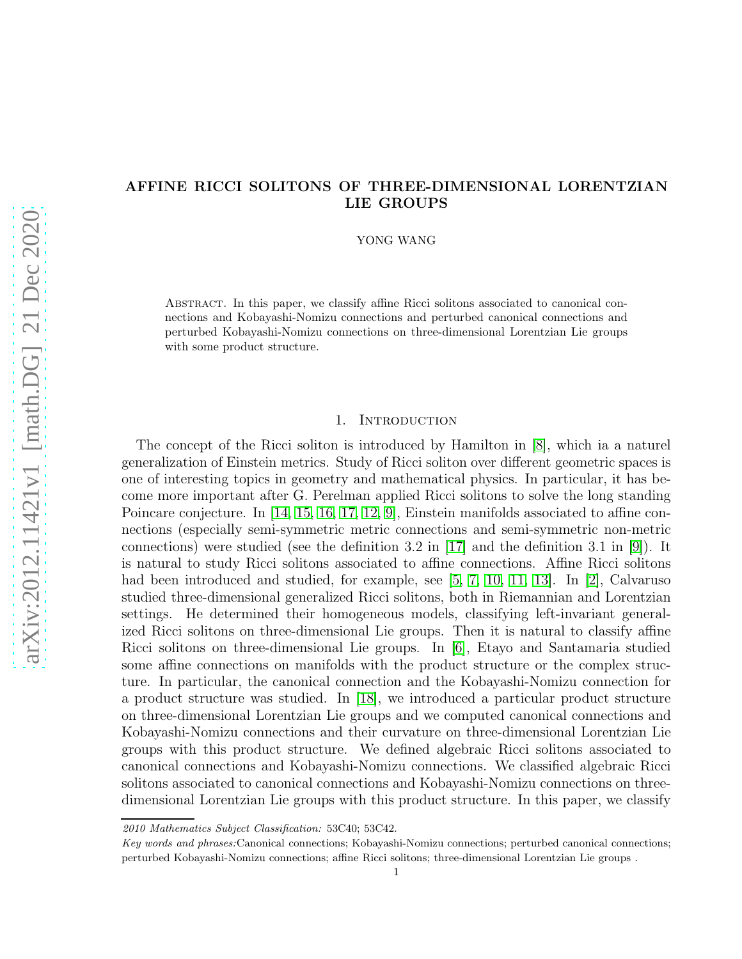## AFFINE RICCI SOLITONS OF THREE-DIMENSIONAL LORENTZIAN LIE GROUPS

YONG WANG

Abstract. In this paper, we classify affine Ricci solitons associated to canonical connections and Kobayashi-Nomizu connections and perturbed canonical connections and perturbed Kobayashi-Nomizu connections on three-dimensional Lorentzian Lie groups with some product structure.

### 1. INTRODUCTION

The concept of the Ricci soliton is introduced by Hamilton in [\[8\]](#page-20-0), which ia a naturel generalization of Einstein metrics. Study of Ricci soliton over different geometric spaces is one of interesting topics in geometry and mathematical physics. In particular, it has become more important after G. Perelman applied Ricci solitons to solve the long standing Poincare conjecture. In [\[14,](#page-20-1) [15,](#page-20-2) [16,](#page-20-3) [17,](#page-20-4) [12,](#page-20-5) [9\]](#page-20-6), Einstein manifolds associated to affine connections (especially semi-symmetric metric connections and semi-symmetric non-metric connections) were studied (see the definition 3.2 in [\[17\]](#page-20-4) and the definition 3.1 in [\[9\]](#page-20-6)). It is natural to study Ricci solitons associated to affine connections. Affine Ricci solitons had been introduced and studied, for example, see [\[5,](#page-19-0) [7,](#page-20-7) [10,](#page-20-8) [11,](#page-20-9) [13\]](#page-20-10). In [\[2\]](#page-19-1), Calvaruso studied three-dimensional generalized Ricci solitons, both in Riemannian and Lorentzian settings. He determined their homogeneous models, classifying left-invariant generalized Ricci solitons on three-dimensional Lie groups. Then it is natural to classify affine Ricci solitons on three-dimensional Lie groups. In [\[6\]](#page-20-11), Etayo and Santamaria studied some affine connections on manifolds with the product structure or the complex structure. In particular, the canonical connection and the Kobayashi-Nomizu connection for a product structure was studied. In [\[18\]](#page-20-12), we introduced a particular product structure on three-dimensional Lorentzian Lie groups and we computed canonical connections and Kobayashi-Nomizu connections and their curvature on three-dimensional Lorentzian Lie groups with this product structure. We defined algebraic Ricci solitons associated to canonical connections and Kobayashi-Nomizu connections. We classified algebraic Ricci solitons associated to canonical connections and Kobayashi-Nomizu connections on threedimensional Lorentzian Lie groups with this product structure. In this paper, we classify

<sup>2010</sup> Mathematics Subject Classification: 53C40; 53C42.

Key words and phrases:Canonical connections; Kobayashi-Nomizu connections; perturbed canonical connections; perturbed Kobayashi-Nomizu connections; affine Ricci solitons; three-dimensional Lorentzian Lie groups .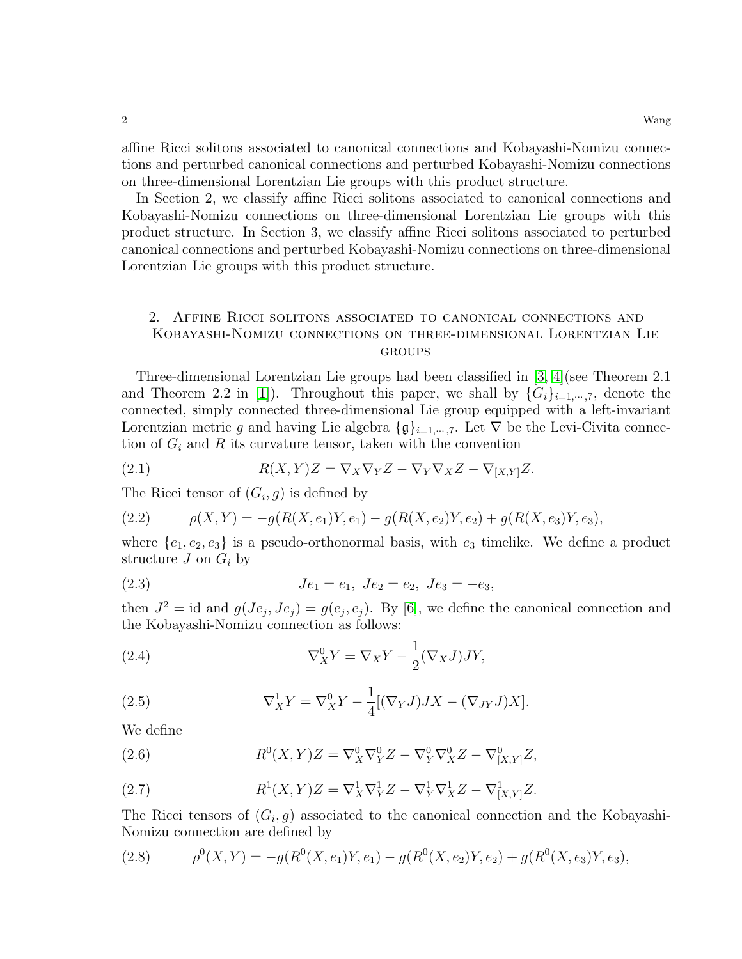affine Ricci solitons associated to canonical connections and Kobayashi-Nomizu connections and perturbed canonical connections and perturbed Kobayashi-Nomizu connections on three-dimensional Lorentzian Lie groups with this product structure.

In Section 2, we classify affine Ricci solitons associated to canonical connections and Kobayashi-Nomizu connections on three-dimensional Lorentzian Lie groups with this product structure. In Section 3, we classify affine Ricci solitons associated to perturbed canonical connections and perturbed Kobayashi-Nomizu connections on three-dimensional Lorentzian Lie groups with this product structure.

## 2. Affine Ricci solitons associated to canonical connections and Kobayashi-Nomizu connections on three-dimensional Lorentzian Lie **GROUPS**

Three-dimensional Lorentzian Lie groups had been classified in [\[3,](#page-19-2) [4\]](#page-19-3)(see Theorem 2.1 and Theorem 2.2 in [\[1\]](#page-19-4)). Throughout this paper, we shall by  $\{G_i\}_{i=1,\dots,7}$ , denote the connected, simply connected three-dimensional Lie group equipped with a left-invariant Lorentzian metric g and having Lie algebra  $\{\mathfrak{g}\}_{i=1,\dots,7}$ . Let  $\nabla$  be the Levi-Civita connection of  $G_i$  and R its curvature tensor, taken with the convention

(2.1) 
$$
R(X,Y)Z = \nabla_X \nabla_Y Z - \nabla_Y \nabla_X Z - \nabla_{[X,Y]} Z.
$$

The Ricci tensor of  $(G_i, g)$  is defined by

(2.2) 
$$
\rho(X,Y) = -g(R(X,e_1)Y,e_1) - g(R(X,e_2)Y,e_2) + g(R(X,e_3)Y,e_3),
$$

where  $\{e_1, e_2, e_3\}$  is a pseudo-orthonormal basis, with  $e_3$  timelike. We define a product structure  $J$  on  $G_i$  by

(2.3) 
$$
Je_1 = e_1, Je_2 = e_2, Je_3 = -e_3,
$$

then  $J^2 = id$  and  $g(Je_j, Je_j) = g(e_j, e_j)$ . By [\[6\]](#page-20-11), we define the canonical connection and the Kobayashi-Nomizu connection as follows:

(2.4) 
$$
\nabla_X^0 Y = \nabla_X Y - \frac{1}{2} (\nabla_X J) JY,
$$

(2.5) 
$$
\nabla_X^1 Y = \nabla_X^0 Y - \frac{1}{4} [(\nabla_Y J) J X - (\nabla_{JY} J) X].
$$

We define

(2.6) 
$$
R^{0}(X,Y)Z = \nabla_{X}^{0}\nabla_{Y}^{0}Z - \nabla_{Y}^{0}\nabla_{X}^{0}Z - \nabla_{[X,Y]}^{0}Z,
$$

(2.7) 
$$
R^{1}(X,Y)Z = \nabla_{X}^{1}\nabla_{Y}^{1}Z - \nabla_{Y}^{1}\nabla_{X}^{1}Z - \nabla_{[X,Y]}^{1}Z.
$$

The Ricci tensors of  $(G_i, g)$  associated to the canonical connection and the Kobayashi-Nomizu connection are defined by

(2.8) 
$$
\rho^{0}(X,Y) = -g(R^{0}(X,e_{1})Y,e_{1}) - g(R^{0}(X,e_{2})Y,e_{2}) + g(R^{0}(X,e_{3})Y,e_{3}),
$$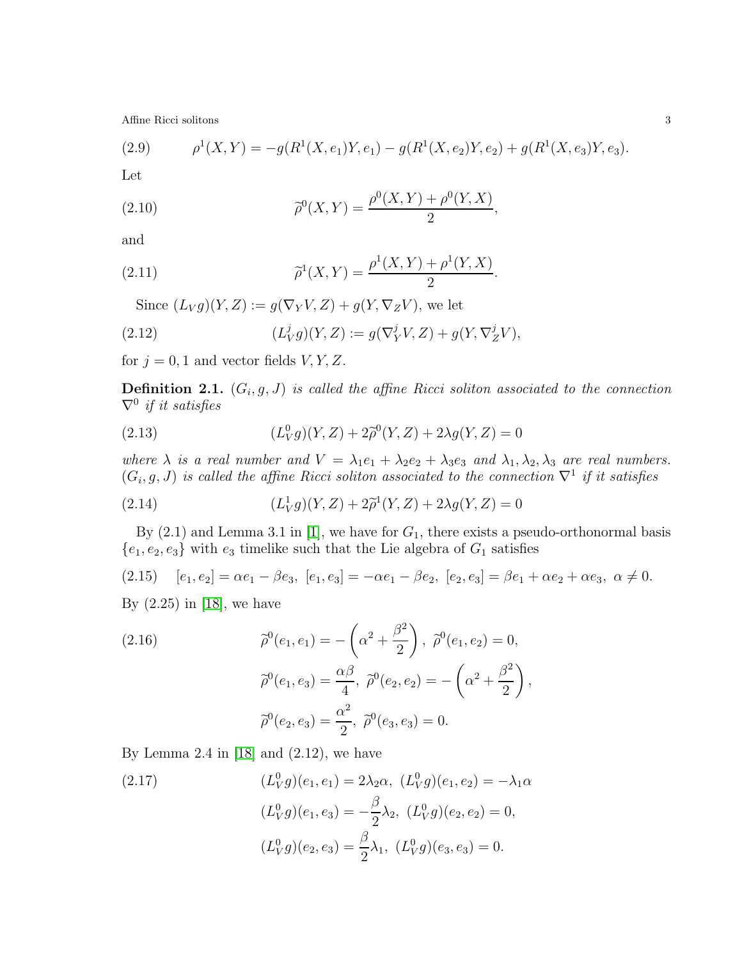(2.9) 
$$
\rho^{1}(X,Y) = -g(R^{1}(X,e_1)Y,e_1) - g(R^{1}(X,e_2)Y,e_2) + g(R^{1}(X,e_3)Y,e_3).
$$

Let

(2.10) 
$$
\widetilde{\rho}^0(X,Y) = \frac{\rho^0(X,Y) + \rho^0(Y,X)}{2},
$$

and

(2.11) 
$$
\widetilde{\rho}^1(X,Y) = \frac{\rho^1(X,Y) + \rho^1(Y,X)}{2}.
$$

Since  $(L_V g)(Y, Z) := g(\nabla_Y V, Z) + g(Y, \nabla_Z V)$ , we let

(2.12) 
$$
(L_V^j g)(Y, Z) := g(\nabla_Y^j V, Z) + g(Y, \nabla_Z^j V),
$$

for  $j = 0, 1$  and vector fields  $V, Y, Z$ .

**Definition 2.1.**  $(G_i, g, J)$  is called the affine Ricci soliton associated to the connection  $\nabla^0$  if it satisfies

(2.13) 
$$
(L_V^0 g)(Y,Z) + 2\tilde{\rho}^0(Y,Z) + 2\lambda g(Y,Z) = 0
$$

where  $\lambda$  is a real number and  $V = \lambda_1 e_1 + \lambda_2 e_2 + \lambda_3 e_3$  and  $\lambda_1, \lambda_2, \lambda_3$  are real numbers.  $(G_i, g, J)$  is called the affine Ricci soliton associated to the connection  $\nabla^1$  if it satisfies

(2.14) 
$$
(L_V^1 g)(Y, Z) + 2\tilde{\rho}^1(Y, Z) + 2\lambda g(Y, Z) = 0
$$

By  $(2.1)$  and Lemma 3.1 in [\[1\]](#page-19-4), we have for  $G_1$ , there exists a pseudo-orthonormal basis  ${e_1, e_2, e_3}$  with  $e_3$  timelike such that the Lie algebra of  $G_1$  satisfies

$$
(2.15) \quad [e_1, e_2] = \alpha e_1 - \beta e_3, \ [e_1, e_3] = -\alpha e_1 - \beta e_2, \ [e_2, e_3] = \beta e_1 + \alpha e_2 + \alpha e_3, \ \alpha \neq 0.
$$

By  $(2.25)$  in [\[18\]](#page-20-12), we have

(2.16)  
\n
$$
\tilde{\rho}^{0}(e_1, e_1) = -\left(\alpha^2 + \frac{\beta^2}{2}\right), \ \tilde{\rho}^{0}(e_1, e_2) = 0,
$$
\n
$$
\tilde{\rho}^{0}(e_1, e_3) = \frac{\alpha \beta}{4}, \ \tilde{\rho}^{0}(e_2, e_2) = -\left(\alpha^2 + \frac{\beta^2}{2}\right),
$$
\n
$$
\tilde{\rho}^{0}(e_2, e_3) = \frac{\alpha^2}{2}, \ \tilde{\rho}^{0}(e_3, e_3) = 0.
$$

By Lemma 2.4 in  $[18]$  and  $(2.12)$ , we have

(2.17) 
$$
(L_V^0 g)(e_1, e_1) = 2\lambda_2 \alpha, \ (L_V^0 g)(e_1, e_2) = -\lambda_1 \alpha
$$

$$
(L_V^0 g)(e_1, e_3) = -\frac{\beta}{2} \lambda_2, \ (L_V^0 g)(e_2, e_2) = 0,
$$

$$
(L_V^0 g)(e_2, e_3) = \frac{\beta}{2} \lambda_1, \ (L_V^0 g)(e_3, e_3) = 0.
$$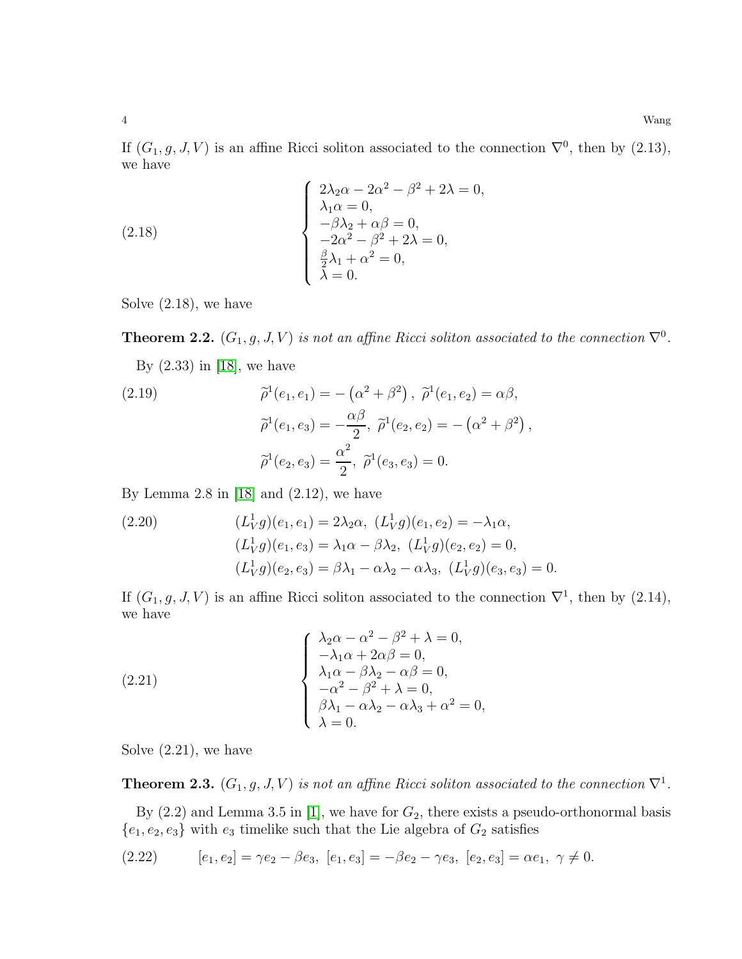If  $(G_1, g, J, V)$  is an affine Ricci soliton associated to the connection  $\nabla^0$ , then by  $(2.13)$ , we have

(2.18)  

$$
\begin{cases}\n2\lambda_2 \alpha - 2\alpha^2 - \beta^2 + 2\lambda = 0, \\
\lambda_1 \alpha = 0, \\
-\beta \lambda_2 + \alpha \beta = 0, \\
-2\alpha^2 - \beta^2 + 2\lambda = 0, \\
\frac{\beta}{2} \lambda_1 + \alpha^2 = 0, \\
\lambda = 0.\n\end{cases}
$$

Solve (2.18), we have

**Theorem 2.2.**  $(G_1, g, J, V)$  is not an affine Ricci soliton associated to the connection  $\nabla^0$ .

By (2.33) in [\[18\]](#page-20-12), we have

(2.19) 
$$
\tilde{\rho}^1(e_1, e_1) = -(\alpha^2 + \beta^2), \ \tilde{\rho}^1(e_1, e_2) = \alpha \beta,
$$

$$
\tilde{\rho}^1(e_1, e_3) = -\frac{\alpha \beta}{2}, \ \tilde{\rho}^1(e_2, e_2) = -(\alpha^2 + \beta^2),
$$

$$
\tilde{\rho}^1(e_2, e_3) = \frac{\alpha^2}{2}, \ \tilde{\rho}^1(e_3, e_3) = 0.
$$

By Lemma 2.8 in  $[18]$  and  $(2.12)$ , we have

(2.20) 
$$
(L_V^1 g)(e_1, e_1) = 2\lambda_2 \alpha, \ (L_V^1 g)(e_1, e_2) = -\lambda_1 \alpha,
$$

$$
(L_V^1 g)(e_1, e_3) = \lambda_1 \alpha - \beta \lambda_2, \ (L_V^1 g)(e_2, e_2) = 0,
$$

$$
(L_V^1 g)(e_2, e_3) = \beta \lambda_1 - \alpha \lambda_2 - \alpha \lambda_3, \ (L_V^1 g)(e_3, e_3) = 0.
$$

If  $(G_1, g, J, V)$  is an affine Ricci soliton associated to the connection  $\nabla^1$ , then by  $(2.14)$ , we have

(2.21)  

$$
\begin{cases}\n\lambda_2 \alpha - \alpha^2 - \beta^2 + \lambda = 0, \\
-\lambda_1 \alpha + 2\alpha \beta = 0, \\
\lambda_1 \alpha - \beta \lambda_2 - \alpha \beta = 0, \\
-\alpha^2 - \beta^2 + \lambda = 0, \\
\beta \lambda_1 - \alpha \lambda_2 - \alpha \lambda_3 + \alpha^2 = 0, \\
\lambda = 0.\n\end{cases}
$$

Solve (2.21), we have

**Theorem 2.3.**  $(G_1, g, J, V)$  is not an affine Ricci soliton associated to the connection  $\nabla^1$ .

By  $(2.2)$  and Lemma 3.5 in [\[1\]](#page-19-4), we have for  $G_2$ , there exists a pseudo-orthonormal basis  ${e_1, e_2, e_3}$  with  $e_3$  timelike such that the Lie algebra of  $G_2$  satisfies

$$
(2.22) \t[e_1, e_2] = \gamma e_2 - \beta e_3, \t[e_1, e_3] = -\beta e_2 - \gamma e_3, \t[e_2, e_3] = \alpha e_1, \ \gamma \neq 0.
$$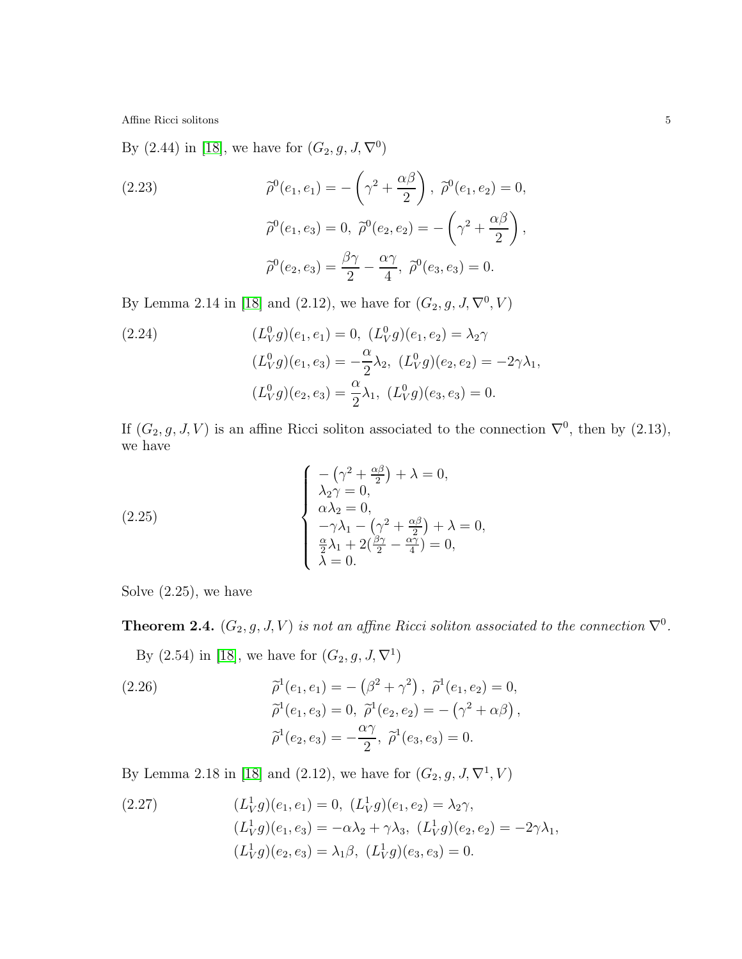By  $(2.44)$  in [\[18\]](#page-20-12), we have for  $(G_2, g, J, \nabla^0)$ 

(2.23)  
\n
$$
\tilde{\rho}^{0}(e_{1}, e_{1}) = -(\gamma^{2} + \frac{\alpha \beta}{2}), \ \tilde{\rho}^{0}(e_{1}, e_{2}) = 0,
$$
\n
$$
\tilde{\rho}^{0}(e_{1}, e_{3}) = 0, \ \tilde{\rho}^{0}(e_{2}, e_{2}) = -(\gamma^{2} + \frac{\alpha \beta}{2}),
$$
\n
$$
\tilde{\rho}^{0}(e_{2}, e_{3}) = \frac{\beta \gamma}{2} - \frac{\alpha \gamma}{4}, \ \tilde{\rho}^{0}(e_{3}, e_{3}) = 0.
$$

By Lemma 2.14 in [\[18\]](#page-20-12) and (2.12), we have for  $(G_2, g, J, \nabla^0, V)$ 

(2.24) 
$$
(L_V^0 g)(e_1, e_1) = 0, (L_V^0 g)(e_1, e_2) = \lambda_2 \gamma
$$

$$
(L_V^0 g)(e_1, e_3) = -\frac{\alpha}{2} \lambda_2, (L_V^0 g)(e_2, e_2) = -2\gamma \lambda_1,
$$

$$
(L_V^0 g)(e_2, e_3) = \frac{\alpha}{2} \lambda_1, (L_V^0 g)(e_3, e_3) = 0.
$$

If  $(G_2, g, J, V)$  is an affine Ricci soliton associated to the connection  $\nabla^0$ , then by  $(2.13)$ , we have

(2.25)  

$$
\begin{cases}\n-(\gamma^2 + \frac{\alpha \beta}{2}) + \lambda = 0, \\
\lambda_2 \gamma = 0, \\
\alpha \lambda_2 = 0, \\
-\gamma \lambda_1 - (\gamma^2 + \frac{\alpha \beta}{2}) + \lambda = 0, \\
\frac{\alpha}{2} \lambda_1 + 2(\frac{\beta \gamma}{2} - \frac{\alpha \gamma}{4}) = 0, \\
\lambda = 0.\n\end{cases}
$$

Solve (2.25), we have

**Theorem 2.4.**  $(G_2, g, J, V)$  is not an affine Ricci soliton associated to the connection  $\nabla^0$ .

By  $(2.54)$  in [\[18\]](#page-20-12), we have for  $(G_2, g, J, \nabla^1)$ 

(2.26)  
\n
$$
\tilde{\rho}^1(e_1, e_1) = -(\beta^2 + \gamma^2), \ \tilde{\rho}^1(e_1, e_2) = 0,
$$
\n
$$
\tilde{\rho}^1(e_1, e_3) = 0, \ \tilde{\rho}^1(e_2, e_2) = -(\gamma^2 + \alpha \beta),
$$
\n
$$
\tilde{\rho}^1(e_2, e_3) = -\frac{\alpha \gamma}{2}, \ \tilde{\rho}^1(e_3, e_3) = 0.
$$

By Lemma 2.18 in [\[18\]](#page-20-12) and (2.12), we have for  $(G_2, g, J, \nabla^1, V)$ 

(2.27) 
$$
(L_V^1 g)(e_1, e_1) = 0, (L_V^1 g)(e_1, e_2) = \lambda_2 \gamma,
$$

$$
(L_V^1 g)(e_1, e_3) = -\alpha \lambda_2 + \gamma \lambda_3, (L_V^1 g)(e_2, e_2) = -2\gamma \lambda_1,
$$

$$
(L_V^1 g)(e_2, e_3) = \lambda_1 \beta, (L_V^1 g)(e_3, e_3) = 0.
$$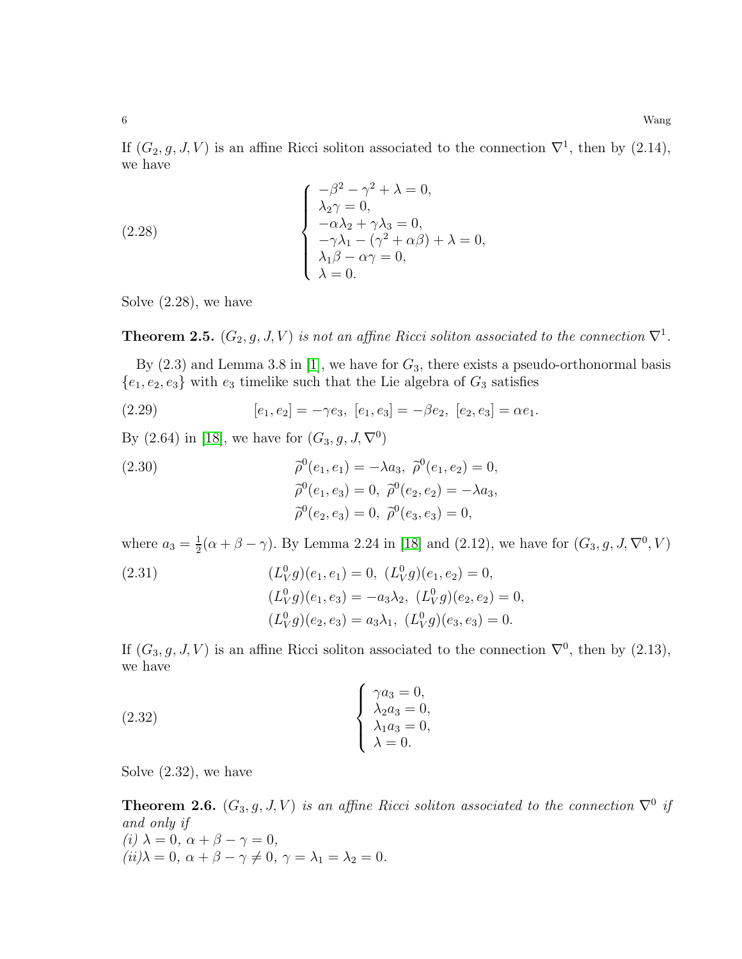If  $(G_2, g, J, V)$  is an affine Ricci soliton associated to the connection  $\nabla^1$ , then by  $(2.14)$ , we have

(2.28)  

$$
\begin{cases}\n-\beta^2 - \gamma^2 + \lambda = 0, \\
\lambda_2 \gamma = 0, \\
-\alpha \lambda_2 + \gamma \lambda_3 = 0, \\
-\gamma \lambda_1 - (\gamma^2 + \alpha \beta) + \lambda = 0, \\
\lambda_1 \beta - \alpha \gamma = 0, \\
\lambda = 0.\n\end{cases}
$$

Solve (2.28), we have

**Theorem 2.5.**  $(G_2, g, J, V)$  is not an affine Ricci soliton associated to the connection  $\nabla^1$ .

By  $(2.3)$  and Lemma 3.8 in [\[1\]](#page-19-4), we have for  $G_3$ , there exists a pseudo-orthonormal basis  ${e_1, e_2, e_3}$  with  $e_3$  timelike such that the Lie algebra of  $G_3$  satisfies

(2.29) 
$$
[e_1, e_2] = -\gamma e_3, [e_1, e_3] = -\beta e_2, [e_2, e_3] = \alpha e_1.
$$

By  $(2.64)$  in [\[18\]](#page-20-12), we have for  $(G_3, g, J, \nabla^0)$ 

(2.30)  
\n
$$
\tilde{\rho}^{0}(e_1, e_1) = -\lambda a_3, \ \tilde{\rho}^{0}(e_1, e_2) = 0,
$$
\n
$$
\tilde{\rho}^{0}(e_1, e_3) = 0, \ \tilde{\rho}^{0}(e_2, e_2) = -\lambda a_3,
$$
\n
$$
\tilde{\rho}^{0}(e_2, e_3) = 0, \ \tilde{\rho}^{0}(e_3, e_3) = 0,
$$

where  $a_3=\frac{1}{2}$  $\frac{1}{2}(\alpha + \beta - \gamma)$ . By Lemma 2.24 in [\[18\]](#page-20-12) and (2.12), we have for  $(G_3, g, J, \nabla^0, V)$ 

(2.31)  
\n
$$
(L_V^0 g)(e_1, e_1) = 0, (L_V^0 g)(e_1, e_2) = 0,
$$
\n
$$
(L_V^0 g)(e_1, e_3) = -a_3 \lambda_2, (L_V^0 g)(e_2, e_2) = 0,
$$
\n
$$
(L_V^0 g)(e_2, e_3) = a_3 \lambda_1, (L_V^0 g)(e_3, e_3) = 0.
$$

If  $(G_3, g, J, V)$  is an affine Ricci soliton associated to the connection  $\nabla^0$ , then by  $(2.13)$ , we have

(2.32) 
$$
\begin{cases} \gamma a_3 = 0, \\ \lambda_2 a_3 = 0, \\ \lambda_1 a_3 = 0, \\ \lambda = 0. \end{cases}
$$

Solve (2.32), we have

**Theorem 2.6.**  $(G_3, g, J, V)$  is an affine Ricci soliton associated to the connection  $\nabla^0$  if and only if (i)  $\lambda = 0, \ \alpha + \beta - \gamma = 0,$  $(iii)\lambda = 0, \ \alpha + \beta - \gamma \neq 0, \ \gamma = \lambda_1 = \lambda_2 = 0.$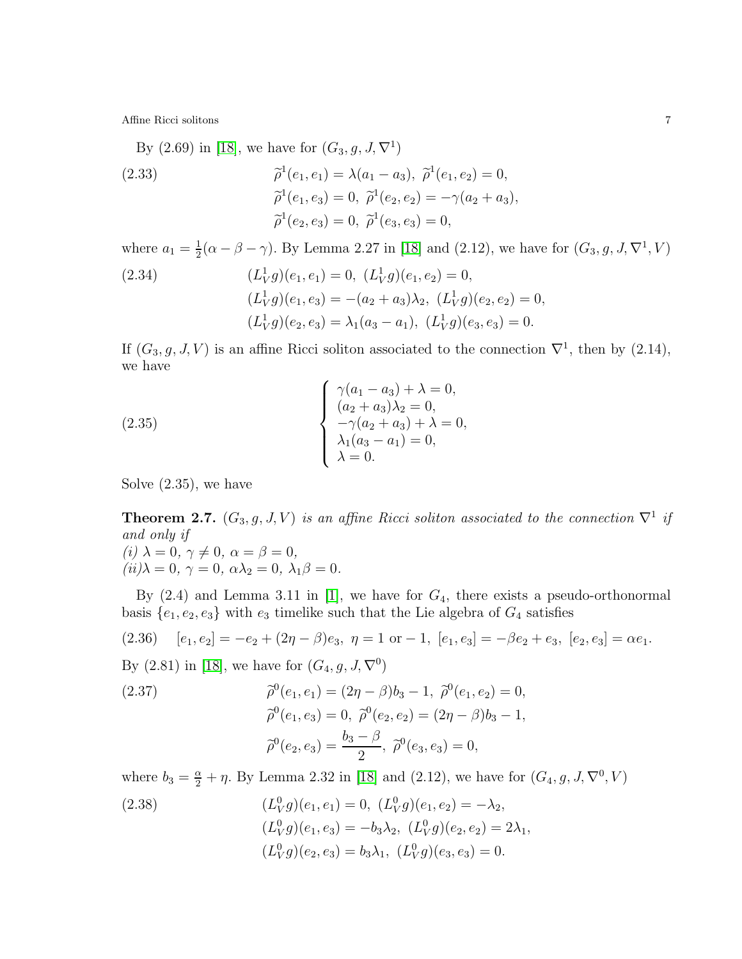By  $(2.69)$  in [\[18\]](#page-20-12), we have for  $(G_3, g, J, \nabla^1)$ 

(2.33)  
\n
$$
\begin{aligned}\n\tilde{\rho}^1(e_1, e_1) &= \lambda(a_1 - a_3), \ \tilde{\rho}^1(e_1, e_2) = 0, \\
\tilde{\rho}^1(e_1, e_3) &= 0, \ \tilde{\rho}^1(e_2, e_2) = -\gamma(a_2 + a_3), \\
\tilde{\rho}^1(e_2, e_3) &= 0, \ \tilde{\rho}^1(e_3, e_3) = 0,\n\end{aligned}
$$

where  $a_1 = \frac{1}{2}$  $\frac{1}{2}(\alpha - \beta - \gamma)$ . By Lemma 2.27 in [\[18\]](#page-20-12) and (2.12), we have for  $(G_3, g, J, \nabla^1, V)$ 

(2.34) 
$$
(L_V^1 g)(e_1, e_1) = 0, (L_V^1 g)(e_1, e_2) = 0,
$$

$$
(L_V^1 g)(e_1, e_3) = -(a_2 + a_3)\lambda_2, (L_V^1 g)(e_2, e_2) = 0,
$$

$$
(L_V^1 g)(e_2, e_3) = \lambda_1(a_3 - a_1), (L_V^1 g)(e_3, e_3) = 0.
$$

If  $(G_3, g, J, V)$  is an affine Ricci soliton associated to the connection  $\nabla^1$ , then by  $(2.14)$ , we have

(2.35) 
$$
\begin{cases} \gamma(a_1 - a_3) + \lambda = 0, \\ (a_2 + a_3)\lambda_2 = 0, \\ -\gamma(a_2 + a_3) + \lambda = 0, \\ \lambda_1(a_3 - a_1) = 0, \\ \lambda = 0. \end{cases}
$$

Solve (2.35), we have

**Theorem 2.7.**  $(G_3, g, J, V)$  is an affine Ricci soliton associated to the connection  $\nabla^1$  if and only if  $(i) \; \lambda = 0, \, \gamma \neq 0, \, \alpha = \beta = 0,$  $(ii)$  $\lambda = 0, \gamma = 0, \alpha \lambda_2 = 0, \lambda_1 \beta = 0.$ 

By  $(2.4)$  and Lemma 3.11 in [\[1\]](#page-19-4), we have for  $G_4$ , there exists a pseudo-orthonormal basis  ${e_1, e_2, e_3}$  with  $e_3$  timelike such that the Lie algebra of  $G_4$  satisfies

(2.36) 
$$
[e_1, e_2] = -e_2 + (2\eta - \beta)e_3, \ \eta = 1 \text{ or } -1, [e_1, e_3] = -\beta e_2 + e_3, [e_2, e_3] = \alpha e_1.
$$

By (2.81) in [\[18\]](#page-20-12), we have for  $(G_4, g, J, \nabla^0)$ 

(2.37)  
\n
$$
\begin{aligned}\n\tilde{\rho}^0(e_1, e_1) &= (2\eta - \beta)b_3 - 1, \ \tilde{\rho}^0(e_1, e_2) = 0, \\
\tilde{\rho}^0(e_1, e_3) &= 0, \ \tilde{\rho}^0(e_2, e_2) = (2\eta - \beta)b_3 - 1, \\
\tilde{\rho}^0(e_2, e_3) &= \frac{b_3 - \beta}{2}, \ \tilde{\rho}^0(e_3, e_3) = 0,\n\end{aligned}
$$

where  $b_3 = \frac{\alpha}{2} + \eta$ . By Lemma 2.32 in [\[18\]](#page-20-12) and (2.12), we have for  $(G_4, g, J, \nabla^0, V)$ 

(2.38)  
\n
$$
(L_V^0 g)(e_1, e_1) = 0, (L_V^0 g)(e_1, e_2) = -\lambda_2,
$$
\n
$$
(L_V^0 g)(e_1, e_3) = -b_3 \lambda_2, (L_V^0 g)(e_2, e_2) = 2\lambda_1,
$$
\n
$$
(L_V^0 g)(e_2, e_3) = b_3 \lambda_1, (L_V^0 g)(e_3, e_3) = 0.
$$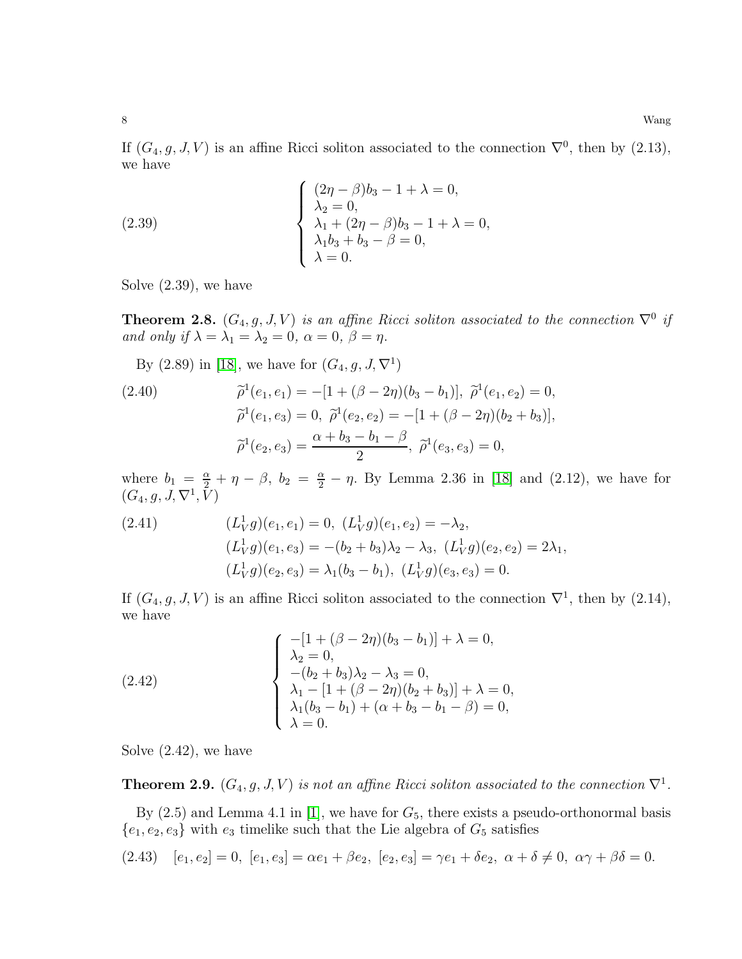If  $(G_4, g, J, V)$  is an affine Ricci soliton associated to the connection  $\nabla^0$ , then by  $(2.13)$ , we have

(2.39)  

$$
\begin{cases}\n(2\eta - \beta)b_3 - 1 + \lambda = 0, \\
\lambda_2 = 0, \\
\lambda_1 + (2\eta - \beta)b_3 - 1 + \lambda = 0, \\
\lambda_1b_3 + b_3 - \beta = 0, \\
\lambda = 0.\n\end{cases}
$$

Solve (2.39), we have

**Theorem 2.8.**  $(G_4, g, J, V)$  is an affine Ricci soliton associated to the connection  $\nabla^0$  if and only if  $\lambda = \lambda_1 = \lambda_2 = 0$ ,  $\alpha = 0$ ,  $\beta = \eta$ .

By (2.89) in [\[18\]](#page-20-12), we have for  $(G_4, g, J, \nabla^1)$ 

(2.40) 
$$
\begin{aligned}\n\tilde{\rho}^1(e_1, e_1) &= -[1 + (\beta - 2\eta)(b_3 - b_1)], \ \tilde{\rho}^1(e_1, e_2) &= 0, \\
\tilde{\rho}^1(e_1, e_3) &= 0, \ \tilde{\rho}^1(e_2, e_2) &= -[1 + (\beta - 2\eta)(b_2 + b_3)], \\
\tilde{\rho}^1(e_2, e_3) &= \frac{\alpha + b_3 - b_1 - \beta}{2}, \ \tilde{\rho}^1(e_3, e_3) &= 0,\n\end{aligned}
$$

where  $b_1 = \frac{\alpha}{2} + \eta - \beta$ ,  $b_2 = \frac{\alpha}{2} - \eta$ . By Lemma 2.36 in [\[18\]](#page-20-12) and (2.12), we have for  $(G_4, g, J, \nabla^1, \overline{V})$ 

(2.41) 
$$
(L_V^1 g)(e_1, e_1) = 0, (L_V^1 g)(e_1, e_2) = -\lambda_2,
$$

$$
(L_V^1 g)(e_1, e_3) = -(b_2 + b_3)\lambda_2 - \lambda_3, (L_V^1 g)(e_2, e_2) = 2\lambda_1,
$$

$$
(L_V^1 g)(e_2, e_3) = \lambda_1(b_3 - b_1), (L_V^1 g)(e_3, e_3) = 0.
$$

If  $(G_4, g, J, V)$  is an affine Ricci soliton associated to the connection  $\nabla^1$ , then by  $(2.14)$ , we have

(2.42)  

$$
\begin{cases}\n-[1 + (\beta - 2\eta)(b_3 - b_1)] + \lambda = 0, \\
\lambda_2 = 0, \\
-(b_2 + b_3)\lambda_2 - \lambda_3 = 0, \\
\lambda_1 - [1 + (\beta - 2\eta)(b_2 + b_3)] + \lambda = 0, \\
\lambda_1(b_3 - b_1) + (\alpha + b_3 - b_1 - \beta) = 0, \\
\lambda = 0.\n\end{cases}
$$

Solve (2.42), we have

**Theorem 2.9.**  $(G_4, g, J, V)$  is not an affine Ricci soliton associated to the connection  $\nabla^1$ .

By  $(2.5)$  and Lemma 4.1 in [\[1\]](#page-19-4), we have for  $G_5$ , there exists a pseudo-orthonormal basis  ${e_1, e_2, e_3}$  with  $e_3$  timelike such that the Lie algebra of  $G_5$  satisfies

$$
(2.43) \quad [e_1, e_2] = 0, \ [e_1, e_3] = \alpha e_1 + \beta e_2, \ [e_2, e_3] = \gamma e_1 + \delta e_2, \ \alpha + \delta \neq 0, \ \alpha \gamma + \beta \delta = 0.
$$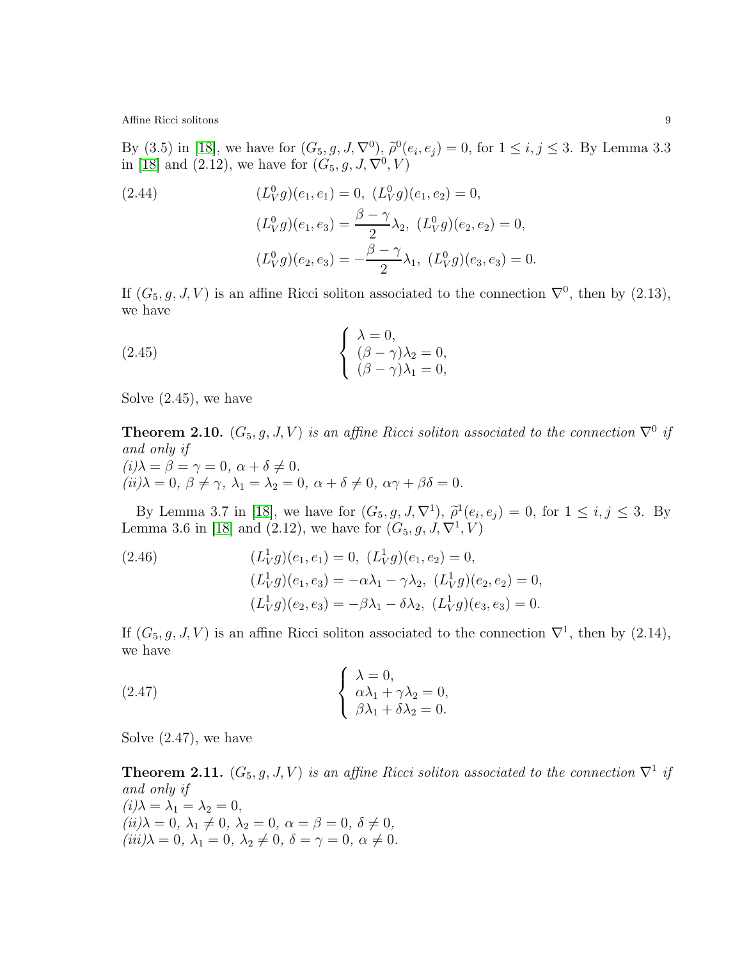By (3.5) in [\[18\]](#page-20-12), we have for  $(G_5, g, J, \nabla^0)$ ,  $\tilde{\rho}^0(e_i, e_j) = 0$ , for  $1 \le i, j \le 3$ . By Lemma 3.3 in [\[18\]](#page-20-12) and (2.12), we have for  $(G_5, g, J, \nabla^0, V)$ 

(2.44) 
$$
(L_V^0 g)(e_1, e_1) = 0, (L_V^0 g)(e_1, e_2) = 0,
$$

$$
(L_V^0 g)(e_1, e_3) = \frac{\beta - \gamma}{2} \lambda_2, (L_V^0 g)(e_2, e_2) = 0,
$$

$$
(L_V^0 g)(e_2, e_3) = -\frac{\beta - \gamma}{2} \lambda_1, (L_V^0 g)(e_3, e_3) = 0.
$$

If  $(G_5, g, J, V)$  is an affine Ricci soliton associated to the connection  $\nabla^0$ , then by  $(2.13)$ , we have

(2.45) 
$$
\begin{cases} \lambda = 0, \\ (\beta - \gamma)\lambda_2 = 0, \\ (\beta - \gamma)\lambda_1 = 0, \end{cases}
$$

Solve (2.45), we have

**Theorem 2.10.**  $(G_5, g, J, V)$  is an affine Ricci soliton associated to the connection  $\nabla^0$  if and only if  $(i)\lambda = \beta = \gamma = 0, \ \alpha + \delta \neq 0.$  $(ii)\lambda = 0, \beta \neq \gamma, \lambda_1 = \lambda_2 = 0, \alpha + \delta \neq 0, \alpha \gamma + \beta \delta = 0.$ 

By Lemma 3.7 in [\[18\]](#page-20-12), we have for  $(G_5, g, J, \nabla^1)$ ,  $\tilde{\rho}^1(e_i, e_j) = 0$ , for  $1 \le i, j \le 3$ . By Lemma 3.6 in [\[18\]](#page-20-12) and (2.12), we have for  $(G_5, g, J, \nabla^1, V)$ 

(2.46) 
$$
(L_V^1 g)(e_1, e_1) = 0, (L_V^1 g)(e_1, e_2) = 0,
$$

$$
(L_V^1 g)(e_1, e_3) = -\alpha \lambda_1 - \gamma \lambda_2, (L_V^1 g)(e_2, e_2) = 0,
$$

$$
(L_V^1 g)(e_2, e_3) = -\beta \lambda_1 - \delta \lambda_2, (L_V^1 g)(e_3, e_3) = 0.
$$

If  $(G_5, g, J, V)$  is an affine Ricci soliton associated to the connection  $\nabla^1$ , then by  $(2.14)$ , we have

(2.47) 
$$
\begin{cases} \lambda = 0, \\ \alpha \lambda_1 + \gamma \lambda_2 = 0, \\ \beta \lambda_1 + \delta \lambda_2 = 0. \end{cases}
$$

Solve (2.47), we have

**Theorem 2.11.**  $(G_5, g, J, V)$  is an affine Ricci soliton associated to the connection  $\nabla^1$  if and only if  $(i)\lambda = \lambda_1 = \lambda_2 = 0,$  $(ii)$  $\lambda = 0, \lambda_1 \neq 0, \lambda_2 = 0, \alpha = \beta = 0, \delta \neq 0,$  $(iii)\lambda = 0, \lambda_1 = 0, \lambda_2 \neq 0, \delta = \gamma = 0, \alpha \neq 0.$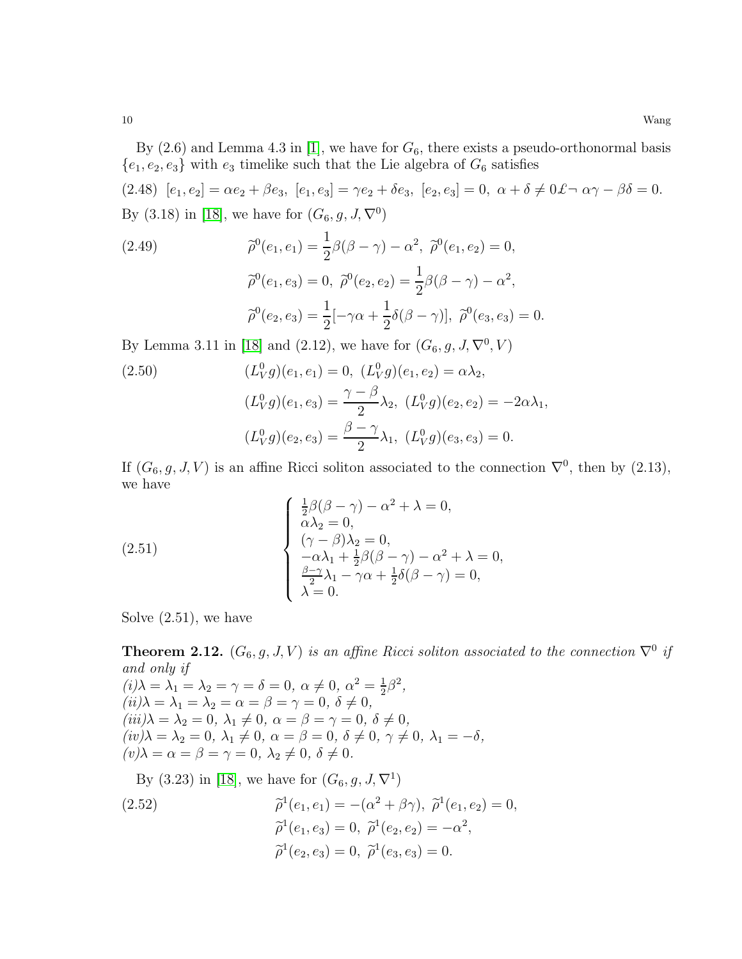By  $(2.6)$  and Lemma 4.3 in [\[1\]](#page-19-4), we have for  $G_6$ , there exists a pseudo-orthonormal basis  ${e_1, e_2, e_3}$  with  $e_3$  timelike such that the Lie algebra of  $G_6$  satisfies

(2.48)  $[e_1, e_2] = \alpha e_2 + \beta e_3$ ,  $[e_1, e_3] = \gamma e_2 + \delta e_3$ ,  $[e_2, e_3] = 0$ ,  $\alpha + \delta \neq 0$   $\mathcal{L} \cap \alpha \gamma - \beta \delta = 0$ . By (3.18) in [\[18\]](#page-20-12), we have for  $(G_6, g, J, \nabla^0)$ 

(2.49) 
$$
\tilde{\rho}^0(e_1, e_1) = \frac{1}{2}\beta(\beta - \gamma) - \alpha^2, \ \tilde{\rho}^0(e_1, e_2) = 0,
$$

$$
\tilde{\rho}^0(e_1, e_3) = 0, \ \tilde{\rho}^0(e_2, e_2) = \frac{1}{2}\beta(\beta - \gamma) - \alpha^2,
$$

$$
\tilde{\rho}^0(e_2, e_3) = \frac{1}{2}[-\gamma\alpha + \frac{1}{2}\delta(\beta - \gamma)], \ \tilde{\rho}^0(e_3, e_3) = 0.
$$

By Lemma 3.11 in [\[18\]](#page-20-12) and (2.12), we have for  $(G_6, g, J, \nabla^0, V)$ 

(2.50) 
$$
(L_V^0 g)(e_1, e_1) = 0, \ (L_V^0 g)(e_1, e_2) = \alpha \lambda_2,
$$

$$
(L_V^0 g)(e_1, e_3) = \frac{\gamma - \beta}{2} \lambda_2, \ (L_V^0 g)(e_2, e_2) = -2\alpha \lambda_1,
$$
  

$$
(L_V^0 g)(e_2, e_3) = \frac{\beta - \gamma}{2} \lambda_1, \ (L_V^0 g)(e_3, e_3) = 0.
$$

If  $(G_6, g, J, V)$  is an affine Ricci soliton associated to the connection  $\nabla^0$ , then by  $(2.13)$ , we have

(2.51) 
$$
\begin{cases} \frac{1}{2}\beta(\beta-\gamma)-\alpha^2+\lambda=0, \\ \alpha\lambda_2=0, \\ (\gamma-\beta)\lambda_2=0, \\ -\alpha\lambda_1+\frac{1}{2}\beta(\beta-\gamma)-\alpha^2+\lambda=0, \\ \frac{\beta-\gamma}{2}\lambda_1-\gamma\alpha+\frac{1}{2}\delta(\beta-\gamma)=0, \\ \lambda=0. \end{cases}
$$

Solve (2.51), we have

**Theorem 2.12.**  $(G_6, g, J, V)$  is an affine Ricci soliton associated to the connection  $\nabla^0$  if and only if  $(i)\lambda = \lambda_1 = \lambda_2 = \gamma = \delta = 0, \ \alpha \neq 0, \ \alpha^2 = \frac{1}{2}$  $\frac{1}{2}\beta^2$ ,  $(ii)$  $\lambda = \lambda_1 = \lambda_2 = \alpha = \beta = \gamma = 0, \ \delta \neq 0,$  $(iii)\lambda = \lambda_2 = 0, \lambda_1 \neq 0, \alpha = \beta = \gamma = 0, \delta \neq 0,$  $(iv) \lambda = \lambda_2 = 0, \ \lambda_1 \neq 0, \ \alpha = \beta = 0, \ \delta \neq 0, \ \gamma \neq 0, \ \lambda_1 = -\delta,$  $(v) \lambda = \alpha = \beta = \gamma = 0, \ \lambda_2 \neq 0, \ \delta \neq 0.$ 

By (3.23) in [\[18\]](#page-20-12), we have for  $(G_6, g, J, \nabla^1)$ 

(2.52)  
\n
$$
\tilde{\rho}^1(e_1, e_1) = -(\alpha^2 + \beta \gamma), \ \tilde{\rho}^1(e_1, e_2) = 0,
$$
\n
$$
\tilde{\rho}^1(e_1, e_3) = 0, \ \tilde{\rho}^1(e_2, e_2) = -\alpha^2,
$$
\n
$$
\tilde{\rho}^1(e_2, e_3) = 0, \ \tilde{\rho}^1(e_3, e_3) = 0.
$$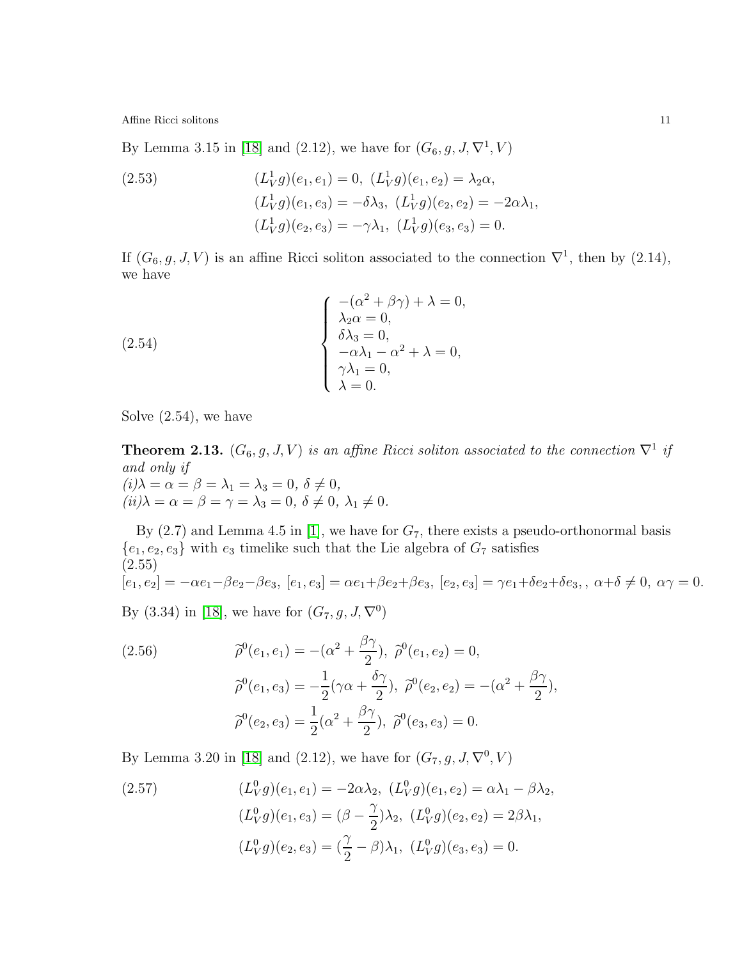By Lemma 3.15 in [\[18\]](#page-20-12) and (2.12), we have for  $(G_6, g, J, \nabla^1, V)$ 

(2.53)  
\n
$$
(L_V^1 g)(e_1, e_1) = 0, (L_V^1 g)(e_1, e_2) = \lambda_2 \alpha,
$$
\n
$$
(L_V^1 g)(e_1, e_3) = -\delta \lambda_3, (L_V^1 g)(e_2, e_2) = -2\alpha \lambda_1,
$$
\n
$$
(L_V^1 g)(e_2, e_3) = -\gamma \lambda_1, (L_V^1 g)(e_3, e_3) = 0.
$$

If  $(G_6, g, J, V)$  is an affine Ricci soliton associated to the connection  $\nabla^1$ , then by  $(2.14)$ , we have

(2.54)  

$$
\begin{cases}\n-(\alpha^2 + \beta \gamma) + \lambda = 0, \\
\lambda_2 \alpha = 0, \\
\delta \lambda_3 = 0, \\
-\alpha \lambda_1 - \alpha^2 + \lambda = 0, \\
\gamma \lambda_1 = 0, \\
\lambda = 0.\n\end{cases}
$$

Solve (2.54), we have

**Theorem 2.13.**  $(G_6, g, J, V)$  is an affine Ricci soliton associated to the connection  $\nabla^1$  if and only if  $(i)\lambda = \alpha = \beta = \lambda_1 = \lambda_3 = 0, \ \delta \neq 0,$  $(ii) \lambda = \alpha = \beta = \gamma = \lambda_3 = 0, \ \delta \neq 0, \ \lambda_1 \neq 0.$ 

By  $(2.7)$  and Lemma 4.5 in [\[1\]](#page-19-4), we have for  $G_7$ , there exists a pseudo-orthonormal basis  ${e_1, e_2, e_3}$  with  $e_3$  timelike such that the Lie algebra of  $G_7$  satisfies (2.55)  $[e_1, e_2] = -\alpha e_1 - \beta e_2 - \beta e_3$ ,  $[e_1, e_3] = \alpha e_1 + \beta e_2 + \beta e_3$ ,  $[e_2, e_3] = \gamma e_1 + \delta e_2 + \delta e_3$ ,  $\alpha + \delta \neq 0$ ,  $\alpha \gamma = 0$ .

By (3.34) in [\[18\]](#page-20-12), we have for  $(G_7, g, J, \nabla^0)$ 

(2.56) 
$$
\tilde{\rho}^0(e_1, e_1) = -(\alpha^2 + \frac{\beta \gamma}{2}), \ \tilde{\rho}^0(e_1, e_2) = 0, \n\tilde{\rho}^0(e_1, e_3) = -\frac{1}{2}(\gamma \alpha + \frac{\delta \gamma}{2}), \ \tilde{\rho}^0(e_2, e_2) = -(\alpha^2 + \frac{\beta \gamma}{2}), \n\tilde{\rho}^0(e_2, e_3) = \frac{1}{2}(\alpha^2 + \frac{\beta \gamma}{2}), \ \tilde{\rho}^0(e_3, e_3) = 0.
$$

By Lemma 3.20 in [\[18\]](#page-20-12) and (2.12), we have for  $(G_7, g, J, \nabla^0, V)$ 

(2.57) 
$$
(L_V^0 g)(e_1, e_1) = -2\alpha \lambda_2, \ (L_V^0 g)(e_1, e_2) = \alpha \lambda_1 - \beta \lambda_2, (L_V^0 g)(e_1, e_3) = (\beta - \frac{\gamma}{2})\lambda_2, \ (L_V^0 g)(e_2, e_2) = 2\beta \lambda_1, (L_V^0 g)(e_2, e_3) = (\frac{\gamma}{2} - \beta)\lambda_1, \ (L_V^0 g)(e_3, e_3) = 0.
$$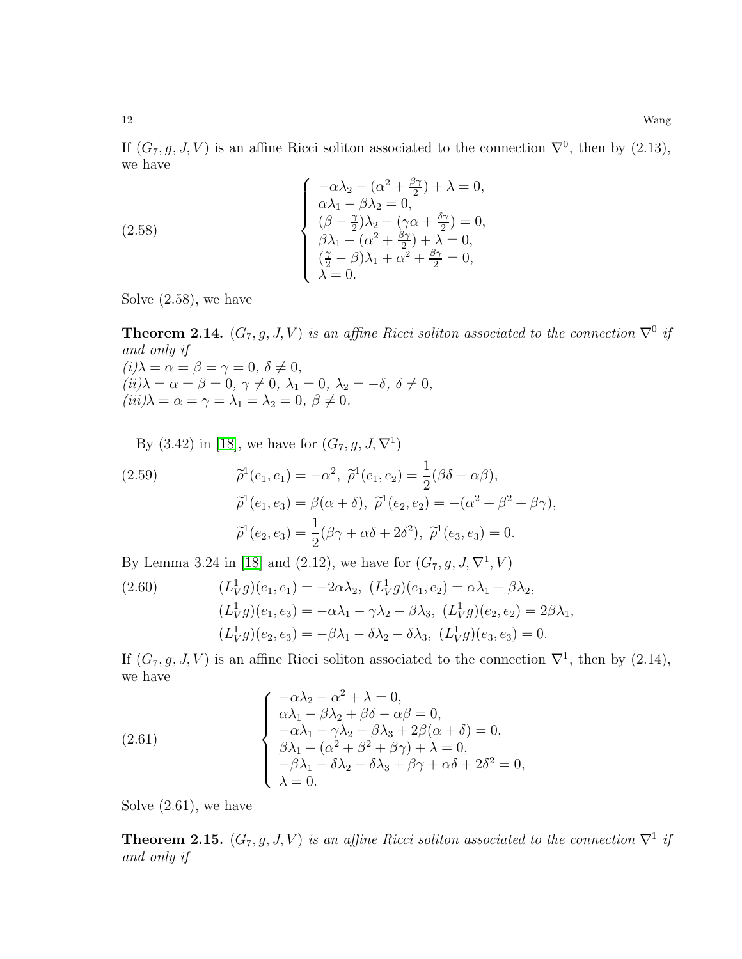If  $(G_7, g, J, V)$  is an affine Ricci soliton associated to the connection  $\nabla^0$ , then by  $(2.13)$ , we have

(2.58)  

$$
\begin{cases}\n-\alpha\lambda_2 - (\alpha^2 + \frac{\beta\gamma}{2}) + \lambda = 0, \\
\alpha\lambda_1 - \beta\lambda_2 = 0, \\
(\beta - \frac{\gamma}{2})\lambda_2 - (\gamma\alpha + \frac{\delta\gamma}{2}) = 0, \\
\beta\lambda_1 - (\alpha^2 + \frac{\beta\gamma}{2}) + \lambda = 0, \\
(\frac{\gamma}{2} - \beta)\lambda_1 + \alpha^2 + \frac{\beta\gamma}{2} = 0, \\
\lambda = 0.\n\end{cases}
$$

Solve (2.58), we have

**Theorem 2.14.**  $(G_7, g, J, V)$  is an affine Ricci soliton associated to the connection  $\nabla^0$  if and only if  $(i) \lambda = \alpha = \beta = \gamma = 0, \ \delta \neq 0,$  $(ii)\lambda = \alpha = \beta = 0, \ \gamma \neq 0, \ \lambda_1 = 0, \ \lambda_2 = -\delta, \ \delta \neq 0,$  $(iii)\lambda = \alpha = \gamma = \lambda_1 = \lambda_2 = 0, \ \beta \neq 0.$ 

By (3.42) in [\[18\]](#page-20-12), we have for  $(G_7, g, J, \nabla^1)$ 

(2.59) 
$$
\widetilde{\rho}^1(e_1, e_1) = -\alpha^2, \ \widetilde{\rho}^1(e_1, e_2) = \frac{1}{2}(\beta \delta - \alpha \beta), \n\widetilde{\rho}^1(e_1, e_3) = \beta(\alpha + \delta), \ \widetilde{\rho}^1(e_2, e_2) = -(\alpha^2 + \beta^2 + \beta \gamma), \n\widetilde{\rho}^1(e_2, e_3) = \frac{1}{2}(\beta \gamma + \alpha \delta + 2\delta^2), \ \widetilde{\rho}^1(e_3, e_3) = 0.
$$

By Lemma 3.24 in [\[18\]](#page-20-12) and (2.12), we have for  $(G_7, g, J, \nabla^1, V)$ 

(2.60) 
$$
(L_V^1 g)(e_1, e_1) = -2\alpha \lambda_2, (L_V^1 g)(e_1, e_2) = \alpha \lambda_1 - \beta \lambda_2, (L_V^1 g)(e_1, e_3) = -\alpha \lambda_1 - \gamma \lambda_2 - \beta \lambda_3, (L_V^1 g)(e_2, e_2) = 2\beta \lambda_1, (L_V^1 g)(e_2, e_3) = -\beta \lambda_1 - \delta \lambda_2 - \delta \lambda_3, (L_V^1 g)(e_3, e_3) = 0.
$$

If  $(G_7, g, J, V)$  is an affine Ricci soliton associated to the connection  $\nabla^1$ , then by  $(2.14)$ , we have

(2.61) 
$$
\begin{cases}\n-\alpha\lambda_2 - \alpha^2 + \lambda = 0, \\
\alpha\lambda_1 - \beta\lambda_2 + \beta\delta - \alpha\beta = 0, \\
-\alpha\lambda_1 - \gamma\lambda_2 - \beta\lambda_3 + 2\beta(\alpha + \delta) = 0, \\
\beta\lambda_1 - (\alpha^2 + \beta^2 + \beta\gamma) + \lambda = 0, \\
-\beta\lambda_1 - \delta\lambda_2 - \delta\lambda_3 + \beta\gamma + \alpha\delta + 2\delta^2 = 0, \\
\lambda = 0.\n\end{cases}
$$

Solve (2.61), we have

**Theorem 2.15.**  $(G_7, g, J, V)$  is an affine Ricci soliton associated to the connection  $\nabla^1$  if and only if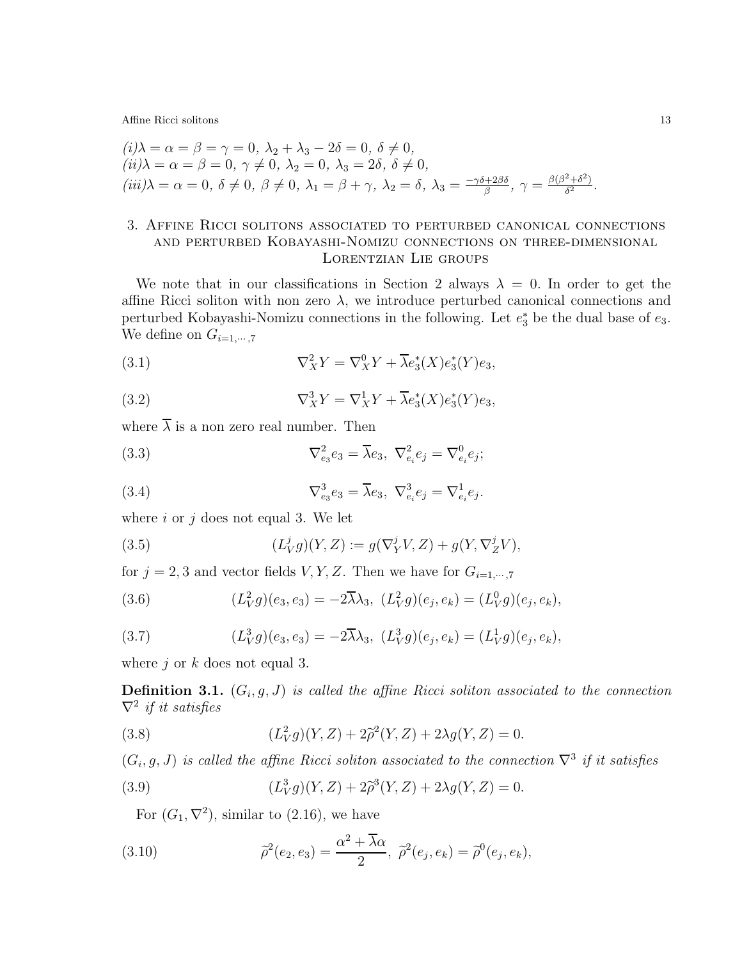$$
\begin{aligned}\n(i)\lambda &= \alpha = \beta = \gamma = 0, \ \lambda_2 + \lambda_3 - 2\delta = 0, \ \delta \neq 0, \\
(ii)\lambda &= \alpha = \beta = 0, \ \gamma \neq 0, \ \lambda_2 = 0, \ \lambda_3 = 2\delta, \ \delta \neq 0, \\
(iii)\lambda &= \alpha = 0, \ \delta \neq 0, \ \beta \neq 0, \ \lambda_1 = \beta + \gamma, \ \lambda_2 = \delta, \ \lambda_3 = \frac{-\gamma \delta + 2\beta \delta}{\beta}, \ \gamma = \frac{\beta(\beta^2 + \delta^2)}{\delta^2}.\n\end{aligned}
$$

# 3. Affine Ricci solitons associated to perturbed canonical connections and perturbed Kobayashi-Nomizu connections on three-dimensional Lorentzian Lie groups

We note that in our classifications in Section 2 always  $\lambda = 0$ . In order to get the affine Ricci soliton with non zero  $\lambda$ , we introduce perturbed canonical connections and perturbed Kobayashi-Nomizu connections in the following. Let  $e_3^*$  be the dual base of  $e_3$ . We define on  $G_{i=1,\dots,7}$ 

(3.1) 
$$
\nabla_X^2 Y = \nabla_X^0 Y + \overline{\lambda} e_3^*(X) e_3^*(Y) e_3,
$$

(3.2) 
$$
\nabla_X^3 Y = \nabla_X^1 Y + \overline{\lambda} e_3^*(X) e_3^*(Y) e_3,
$$

where  $\overline{\lambda}$  is a non zero real number. Then

(3.3) 
$$
\nabla_{e_3}^2 e_3 = \overline{\lambda} e_3, \ \nabla_{e_i}^2 e_j = \nabla_{e_i}^0 e_j;
$$

(3.4) 
$$
\nabla_{e_3}^3 e_3 = \overline{\lambda} e_3, \ \nabla_{e_i}^3 e_j = \nabla_{e_i}^1 e_j.
$$

where  $i$  or  $j$  does not equal 3. We let

(3.5) 
$$
(L_V^j g)(Y, Z) := g(\nabla_Y^j V, Z) + g(Y, \nabla_Z^j V),
$$

for  $j = 2, 3$  and vector fields  $V, Y, Z$ . Then we have for  $G_{i=1,\dots,7}$ 

(3.6) 
$$
(L_V^2 g)(e_3, e_3) = -2\overline{\lambda}\lambda_3, \ (L_V^2 g)(e_j, e_k) = (L_V^0 g)(e_j, e_k),
$$

(3.7) 
$$
(L_V^3 g)(e_3, e_3) = -2\overline{\lambda}\lambda_3, \ (L_V^3 g)(e_j, e_k) = (L_V^1 g)(e_j, e_k),
$$

where  $j$  or  $k$  does not equal 3.

**Definition 3.1.**  $(G_i, g, J)$  is called the affine Ricci soliton associated to the connection  $\nabla^2$  if it satisfies

(3.8) 
$$
(L_V^2 g)(Y, Z) + 2\tilde{\rho}^2(Y, Z) + 2\lambda g(Y, Z) = 0.
$$

 $(G_i, g, J)$  is called the affine Ricci soliton associated to the connection  $\nabla^3$  if it satisfies

(3.9) 
$$
(L_V^3 g)(Y, Z) + 2\tilde{\rho}^3(Y, Z) + 2\lambda g(Y, Z) = 0.
$$

For  $(G_1, \nabla^2)$ , similar to  $(2.16)$ , we have

(3.10) 
$$
\tilde{\rho}^2(e_2, e_3) = \frac{\alpha^2 + \overline{\lambda}\alpha}{2}, \ \tilde{\rho}^2(e_j, e_k) = \tilde{\rho}^0(e_j, e_k),
$$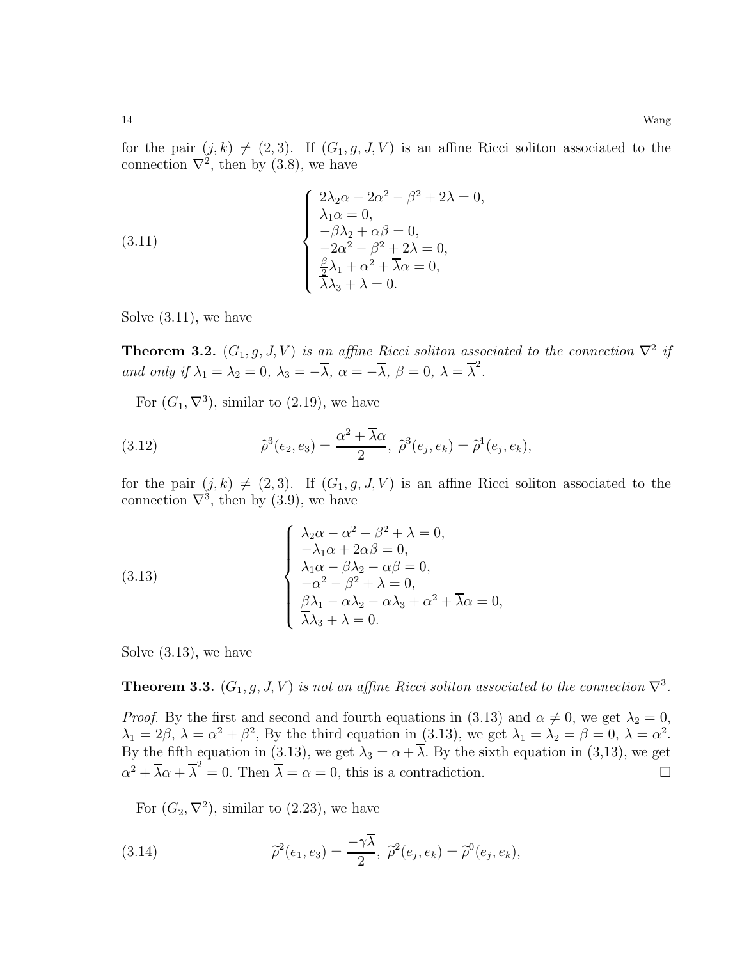for the pair  $(j, k) \neq (2, 3)$ . If  $(G_1, g, J, V)$  is an affine Ricci soliton associated to the connection  $\nabla^2$ , then by (3.8), we have

(3.11) 
$$
\begin{cases} 2\lambda_2\alpha - 2\alpha^2 - \beta^2 + 2\lambda = 0, \\ \lambda_1\alpha = 0, \\ -\beta\lambda_2 + \alpha\beta = 0, \\ -2\alpha^2 - \beta^2 + 2\lambda = 0, \\ \frac{\beta}{2}\lambda_1 + \alpha^2 + \overline{\lambda}\alpha = 0, \\ \lambda_3 + \lambda = 0. \end{cases}
$$

Solve (3.11), we have

**Theorem 3.2.**  $(G_1, g, J, V)$  is an affine Ricci soliton associated to the connection  $\nabla^2$  if and only if  $\lambda_1 = \lambda_2 = 0$ ,  $\lambda_3 = -\overline{\lambda}$ ,  $\alpha = -\overline{\lambda}$ ,  $\beta = 0$ ,  $\lambda = \overline{\lambda}^2$ .

For  $(G_1, \nabla^3)$ , similar to  $(2.19)$ , we have

(3.12) 
$$
\widetilde{\rho}^3(e_2, e_3) = \frac{\alpha^2 + \overline{\lambda}\alpha}{2}, \ \widetilde{\rho}^3(e_j, e_k) = \widetilde{\rho}^1(e_j, e_k),
$$

for the pair  $(j, k) \neq (2, 3)$ . If  $(G_1, g, J, V)$  is an affine Ricci soliton associated to the connection  $\nabla^3$ , then by (3.9), we have

(3.13)  

$$
\begin{cases}\n\lambda_2 \alpha - \alpha^2 - \beta^2 + \lambda = 0, \\
-\lambda_1 \alpha + 2\alpha\beta = 0, \\
\lambda_1 \alpha - \beta\lambda_2 - \alpha\beta = 0, \\
-\alpha^2 - \beta^2 + \lambda = 0, \\
\beta\lambda_1 - \alpha\lambda_2 - \alpha\lambda_3 + \alpha^2 + \overline{\lambda}\alpha = 0,\n\end{cases}
$$

Solve (3.13), we have

**Theorem 3.3.**  $(G_1, g, J, V)$  is not an affine Ricci soliton associated to the connection  $\nabla^3$ .

*Proof.* By the first and second and fourth equations in (3.13) and  $\alpha \neq 0$ , we get  $\lambda_2 = 0$ ,  $\lambda_1 = 2\beta, \lambda = \alpha^2 + \beta^2$ , By the third equation in (3.13), we get  $\lambda_1 = \lambda_2 = \beta = 0, \lambda = \alpha^2$ . By the fifth equation in (3.13), we get  $\lambda_3 = \alpha + \overline{\lambda}$ . By the sixth equation in (3,13), we get  $\alpha^2 + \overline{\lambda}\alpha + \overline{\lambda}^2 = 0$ . Then  $\overline{\lambda} = \alpha = 0$ , this is a contradiction.

For  $(G_2, \nabla^2)$ , similar to  $(2.23)$ , we have

(3.14) 
$$
\widetilde{\rho}^2(e_1, e_3) = \frac{-\gamma \overline{\lambda}}{2}, \ \widetilde{\rho}^2(e_j, e_k) = \widetilde{\rho}^0(e_j, e_k),
$$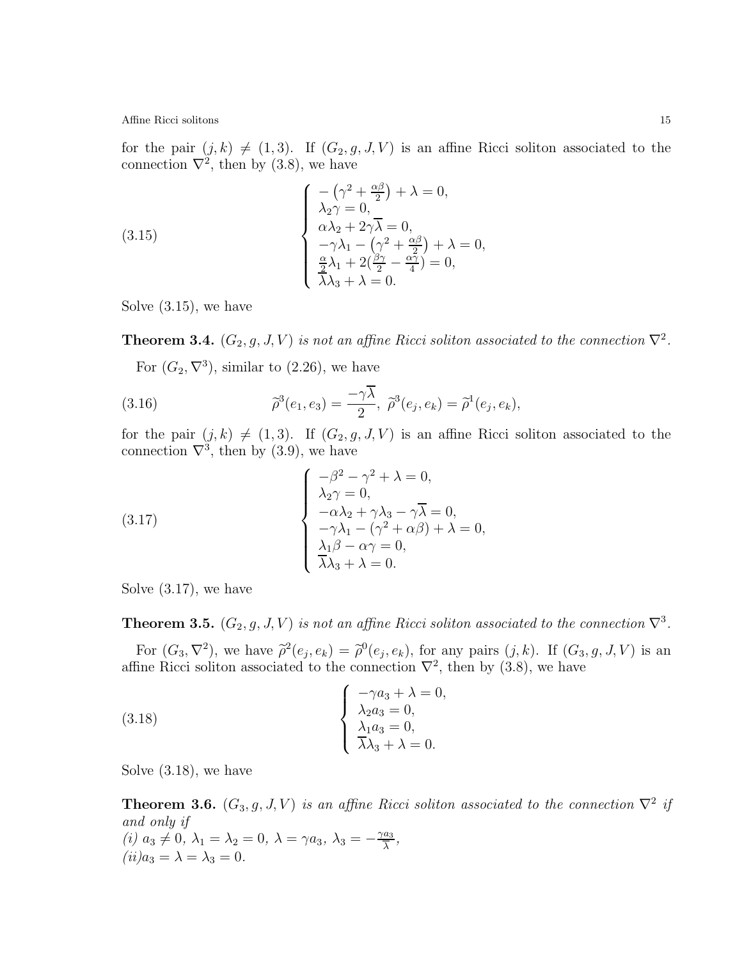for the pair  $(j, k) \neq (1, 3)$ . If  $(G_2, g, J, V)$  is an affine Ricci soliton associated to the connection  $\nabla^2$ , then by (3.8), we have

(3.15) 
$$
\begin{cases}\n-(\gamma^2 + \frac{\alpha \beta}{2}) + \lambda = 0, \\
\lambda_2 \gamma = 0, \\
\alpha \lambda_2 + 2\gamma \overline{\lambda} = 0, \\
-\gamma \lambda_1 - (\gamma^2 + \frac{\alpha \beta}{2}) + \lambda = 0, \\
\frac{\alpha}{2} \lambda_1 + 2(\frac{\beta \gamma}{2} - \frac{\alpha \gamma}{4}) = 0, \\
\lambda \lambda_3 + \lambda = 0.\n\end{cases}
$$

Solve (3.15), we have

**Theorem 3.4.**  $(G_2, g, J, V)$  is not an affine Ricci soliton associated to the connection  $\nabla^2$ .

For  $(G_2, \nabla^3)$ , similar to  $(2.26)$ , we have

(3.16) 
$$
\tilde{\rho}^3(e_1, e_3) = \frac{-\gamma \overline{\lambda}}{2}, \ \tilde{\rho}^3(e_j, e_k) = \tilde{\rho}^1(e_j, e_k),
$$

for the pair  $(j, k) \neq (1, 3)$ . If  $(G_2, g, J, V)$  is an affine Ricci soliton associated to the connection  $\nabla^3$ , then by (3.9), we have

(3.17) 
$$
\begin{cases}\n-\beta^2 - \gamma^2 + \lambda = 0, \\
\lambda_2 \gamma = 0, \\
-\alpha \lambda_2 + \gamma \lambda_3 - \gamma \overline{\lambda} = 0, \\
-\gamma \lambda_1 - (\gamma^2 + \alpha \beta) + \lambda = 0, \\
\lambda_1 \beta - \alpha \gamma = 0, \\
\overline{\lambda} \lambda_3 + \lambda = 0.\n\end{cases}
$$

Solve (3.17), we have

**Theorem 3.5.**  $(G_2, g, J, V)$  is not an affine Ricci soliton associated to the connection  $\nabla^3$ .

For  $(G_3, \nabla^2)$ , we have  $\tilde{\rho}^2(e_j, e_k) = \tilde{\rho}^0(e_j, e_k)$ , for any pairs  $(j, k)$ . If  $(G_3, g, J, V)$  is an affine Ricci soliton associated to the connection  $\nabla^2$ , then by (3.8), we have

(3.18) 
$$
\begin{cases}\n-\gamma a_3 + \lambda = 0, \\
\lambda_2 a_3 = 0, \\
\lambda_1 a_3 = 0, \\
\overline{\lambda} \lambda_3 + \lambda = 0.\n\end{cases}
$$

Solve (3.18), we have

**Theorem 3.6.**  $(G_3, g, J, V)$  is an affine Ricci soliton associated to the connection  $\nabla^2$  if and only if (i)  $a_3 \neq 0$ ,  $\lambda_1 = \lambda_2 = 0$ ,  $\lambda = \gamma a_3$ ,  $\lambda_3 = -\frac{\gamma a_3}{\overline{\lambda}}$  $\frac{a_3}{\lambda}$ ,  $(ii)a_3 = \lambda = \lambda_3 = 0.$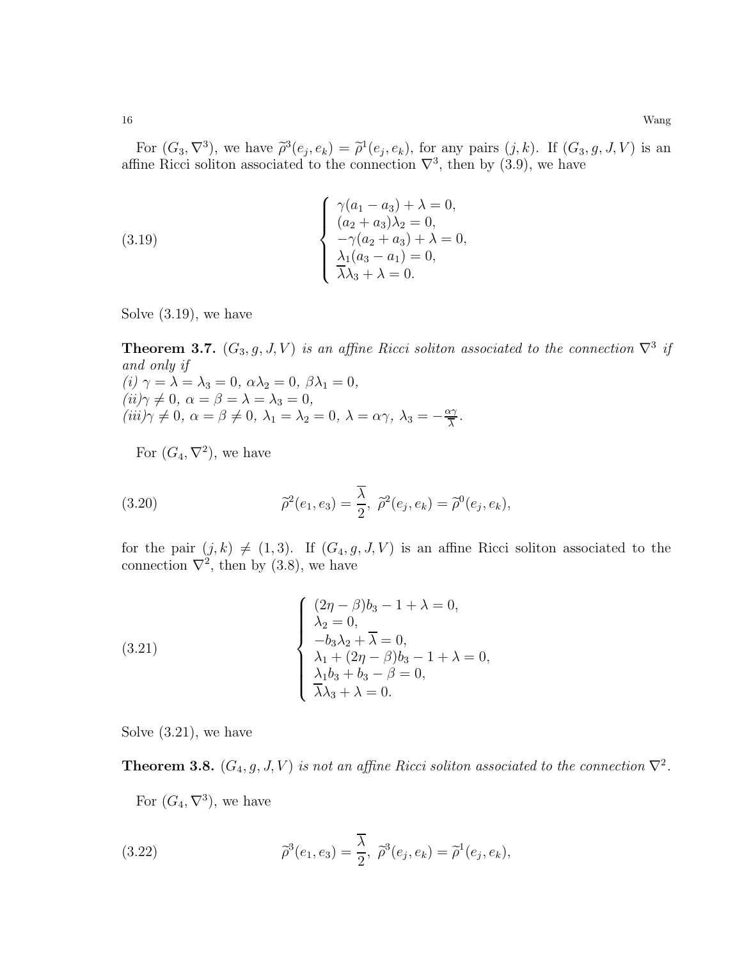For  $(G_3, \nabla^3)$ , we have  $\tilde{\rho}^3(e_j, e_k) = \tilde{\rho}^1(e_j, e_k)$ , for any pairs  $(j, k)$ . If  $(G_3, g, J, V)$  is an affine Ricci soliton associated to the connection  $\nabla^3$ , then by (3.9), we have

(3.19) 
$$
\begin{cases} \gamma(a_1 - a_3) + \lambda = 0, \\ (a_2 + a_3)\lambda_2 = 0, \\ -\gamma(a_2 + a_3) + \lambda = 0, \\ \lambda_1(a_3 - a_1) = 0, \\ \overline{\lambda}\lambda_3 + \lambda = 0. \end{cases}
$$

Solve (3.19), we have

**Theorem 3.7.**  $(G_3, g, J, V)$  is an affine Ricci soliton associated to the connection  $\nabla^3$  if and only if (i)  $\gamma = \lambda = \lambda_3 = 0, \ \alpha \lambda_2 = 0, \ \beta \lambda_1 = 0,$  $(ii)\gamma \neq 0, \ \alpha = \beta = \lambda = \lambda_3 = 0,$  $(iii)\gamma \neq 0, \ \alpha = \beta \neq 0, \ \lambda_1 = \lambda_2 = 0, \ \lambda = \alpha \gamma, \ \lambda_3 = -\frac{\alpha \gamma}{\overline{\lambda}}$  $rac{\chi\gamma}{\lambda}$  .

For  $(G_4, \nabla^2)$ , we have

(3.20) 
$$
\tilde{\rho}^2(e_1, e_3) = \frac{\overline{\lambda}}{2}, \ \tilde{\rho}^2(e_j, e_k) = \tilde{\rho}^0(e_j, e_k),
$$

for the pair  $(j, k) \neq (1, 3)$ . If  $(G_4, g, J, V)$  is an affine Ricci soliton associated to the connection  $\nabla^2$ , then by (3.8), we have

(3.21) 
$$
\begin{cases} (2\eta - \beta)b_3 - 1 + \lambda = 0, \\ \lambda_2 = 0, \\ -b_3\lambda_2 + \overline{\lambda} = 0, \\ \lambda_1 + (2\eta - \beta)b_3 - 1 + \lambda = 0, \\ \lambda_1b_3 + b_3 - \beta = 0, \\ \overline{\lambda}\lambda_3 + \lambda = 0. \end{cases}
$$

Solve (3.21), we have

**Theorem 3.8.**  $(G_4, g, J, V)$  is not an affine Ricci soliton associated to the connection  $\nabla^2$ .

For  $(G_4, \nabla^3)$ , we have

(3.22) 
$$
\tilde{\rho}^3(e_1, e_3) = \frac{\overline{\lambda}}{2}, \ \tilde{\rho}^3(e_j, e_k) = \tilde{\rho}^1(e_j, e_k),
$$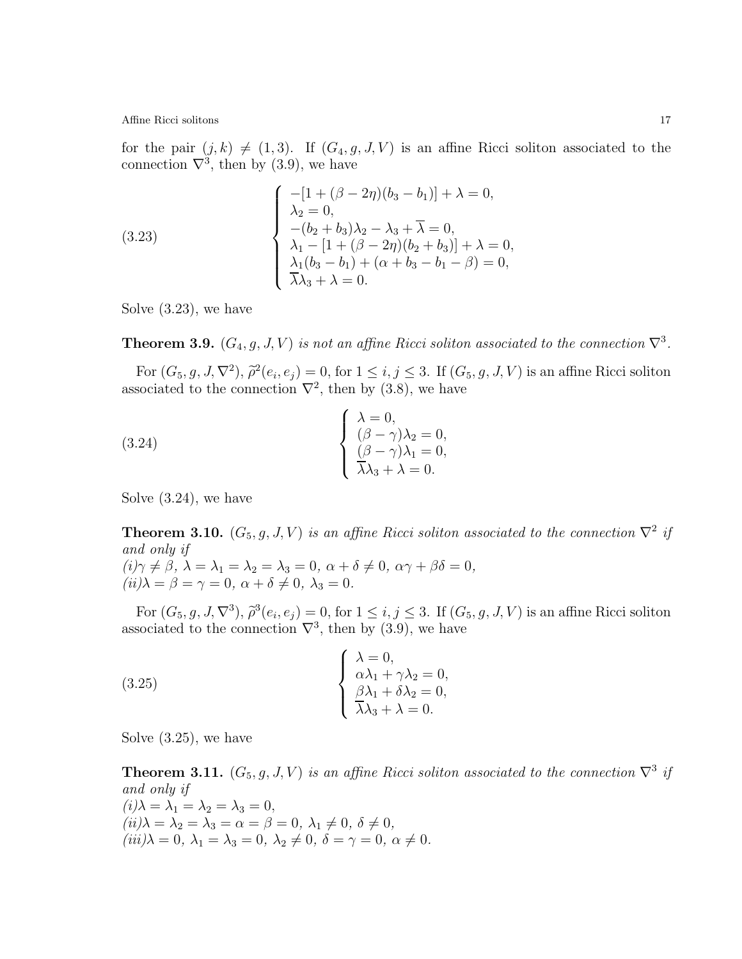for the pair  $(j, k) \neq (1, 3)$ . If  $(G_4, g, J, V)$  is an affine Ricci soliton associated to the connection  $\nabla^3$ , then by (3.9), we have

(3.23) 
$$
\begin{cases}\n-[1 + (\beta - 2\eta)(b_3 - b_1)] + \lambda = 0, \\
\lambda_2 = 0, \\
-(b_2 + b_3)\lambda_2 - \lambda_3 + \overline{\lambda} = 0, \\
\lambda_1 - [1 + (\beta - 2\eta)(b_2 + b_3)] + \lambda = 0, \\
\lambda_1(b_3 - b_1) + (\alpha + b_3 - b_1 - \beta) = 0, \\
\overline{\lambda}\lambda_3 + \lambda = 0.\n\end{cases}
$$

Solve (3.23), we have

**Theorem 3.9.**  $(G_4, g, J, V)$  is not an affine Ricci soliton associated to the connection  $\nabla^3$ .

For  $(G_5, g, J, \nabla^2)$ ,  $\tilde{\rho}^2(e_i, e_j) = 0$ , for  $1 \leq i, j \leq 3$ . If  $(G_5, g, J, V)$  is an affine Ricci soliton associated to the connection  $\nabla^2$ , then by (3.8), we have

 $\overline{\phantom{a}}$ 

(3.24) 
$$
\begin{cases} \lambda = 0, \\ (\beta - \gamma)\lambda_2 = 0, \\ (\beta - \gamma)\lambda_1 = 0, \\ \overline{\lambda}\lambda_3 + \lambda = 0. \end{cases}
$$

Solve (3.24), we have

**Theorem 3.10.**  $(G_5, g, J, V)$  is an affine Ricci soliton associated to the connection  $\nabla^2$  if and only if  $(i)\gamma \neq \beta, \ \lambda = \lambda_1 = \lambda_2 = \lambda_3 = 0, \ \alpha + \delta \neq 0, \ \alpha \gamma + \beta \delta = 0,$ 

 $(ii)$  $\lambda = \beta = \gamma = 0, \ \alpha + \delta \neq 0, \ \lambda_3 = 0.$ 

For  $(G_5, g, J, \nabla^3), \tilde{\rho}^3(e_i, e_j) = 0$ , for  $1 \leq i, j \leq 3$ . If  $(G_5, g, J, V)$  is an affine Ricci soliton associated to the connection  $\nabla^3$ , then by (3.9), we have

(3.25) 
$$
\begin{cases} \lambda = 0, \\ \alpha \lambda_1 + \gamma \lambda_2 = 0, \\ \beta \lambda_1 + \delta \lambda_2 = 0, \\ \overline{\lambda} \lambda_3 + \lambda = 0. \end{cases}
$$

Solve (3.25), we have

**Theorem 3.11.**  $(G_5, g, J, V)$  is an affine Ricci soliton associated to the connection  $\nabla^3$  if and only if  $(i)\lambda = \lambda_1 = \lambda_2 = \lambda_3 = 0,$  $(ii)$  $\lambda = \lambda_2 = \lambda_3 = \alpha = \beta = 0, \lambda_1 \neq 0, \delta \neq 0,$  $(iii)\lambda = 0, \lambda_1 = \lambda_3 = 0, \lambda_2 \neq 0, \delta = \gamma = 0, \alpha \neq 0.$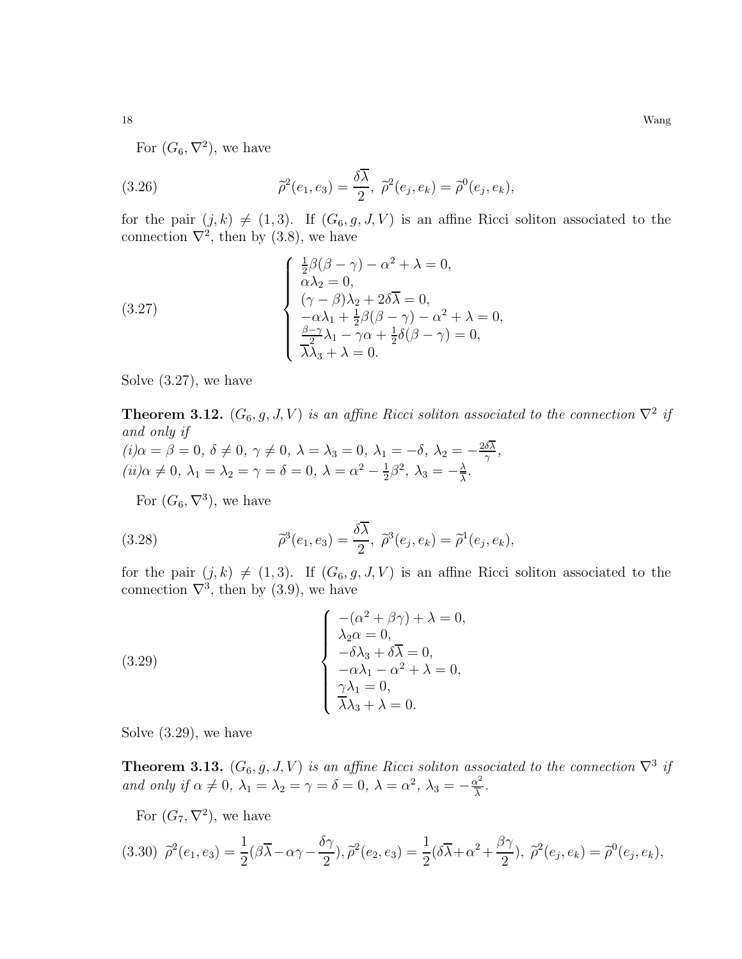For  $(G_6, \nabla^2)$ , we have

(3.26) 
$$
\tilde{\rho}^2(e_1, e_3) = \frac{\delta \overline{\lambda}}{2}, \ \tilde{\rho}^2(e_j, e_k) = \tilde{\rho}^0(e_j, e_k),
$$

for the pair  $(j, k) \neq (1, 3)$ . If  $(G_6, g, J, V)$  is an affine Ricci soliton associated to the connection  $\nabla^2$ , then by (3.8), we have

(3.27)  

$$
\begin{cases}\n\frac{1}{2}\beta(\beta-\gamma) - \alpha^2 + \lambda = 0, \\
\alpha\lambda_2 = 0, \\
(\gamma - \beta)\lambda_2 + 2\delta\overline{\lambda} = 0, \\
-\alpha\lambda_1 + \frac{1}{2}\beta(\beta - \gamma) - \alpha^2 + \lambda = 0, \\
\frac{\beta - \gamma}{2}\lambda_1 - \gamma\alpha + \frac{1}{2}\delta(\beta - \gamma) = 0, \\
\overline{\lambda\lambda_3 + \lambda} = 0.\n\end{cases}
$$

Solve (3.27), we have

**Theorem 3.12.**  $(G_6, g, J, V)$  is an affine Ricci soliton associated to the connection  $\nabla^2$  if and only if

$$
(i) \alpha = \beta = 0, \ \delta \neq 0, \ \gamma \neq 0, \ \lambda = \lambda_3 = 0, \ \lambda_1 = -\delta, \ \lambda_2 = -\frac{2\delta\lambda}{\gamma},
$$

$$
(ii) \alpha \neq 0, \ \lambda_1 = \lambda_2 = \gamma = \delta = 0, \ \lambda = \alpha^2 - \frac{1}{2}\beta^2, \ \lambda_3 = -\frac{\lambda}{\lambda}.
$$

For  $(G_6, \nabla^3)$ , we have

(3.28) 
$$
\tilde{\rho}^3(e_1, e_3) = \frac{\delta \overline{\lambda}}{2}, \ \tilde{\rho}^3(e_j, e_k) = \tilde{\rho}^1(e_j, e_k),
$$

for the pair  $(j, k) \neq (1, 3)$ . If  $(G_6, g, J, V)$  is an affine Ricci soliton associated to the connection  $\nabla^3$ , then by (3.9), we have

(3.29)  

$$
\begin{cases}\n-(\alpha^2 + \beta \gamma) + \lambda = 0, \\
\lambda_2 \alpha = 0, \\
-\delta \lambda_3 + \delta \overline{\lambda} = 0, \\
-\alpha \lambda_1 - \alpha^2 + \lambda = 0, \\
\gamma \lambda_1 = 0, \\
\overline{\lambda} \lambda_3 + \lambda = 0.\n\end{cases}
$$

Solve (3.29), we have

**Theorem 3.13.**  $(G_6, g, J, V)$  is an affine Ricci soliton associated to the connection  $\nabla^3$  if and only if  $\alpha \neq 0$ ,  $\lambda_1 = \lambda_2 = \gamma = \delta = 0$ ,  $\lambda = \alpha^2$ ,  $\lambda_3 = -\frac{\alpha^2}{\lambda}$  $rac{\chi^2}{\lambda}$ .

For  $(G_7, \nabla^2)$ , we have

$$
(3.30)\ \tilde{\rho}^2(e_1, e_3) = \frac{1}{2}(\beta \overline{\lambda} - \alpha \gamma - \frac{\delta \gamma}{2}), \tilde{\rho}^2(e_2, e_3) = \frac{1}{2}(\delta \overline{\lambda} + \alpha^2 + \frac{\beta \gamma}{2}), \ \tilde{\rho}^2(e_j, e_k) = \tilde{\rho}^0(e_j, e_k),
$$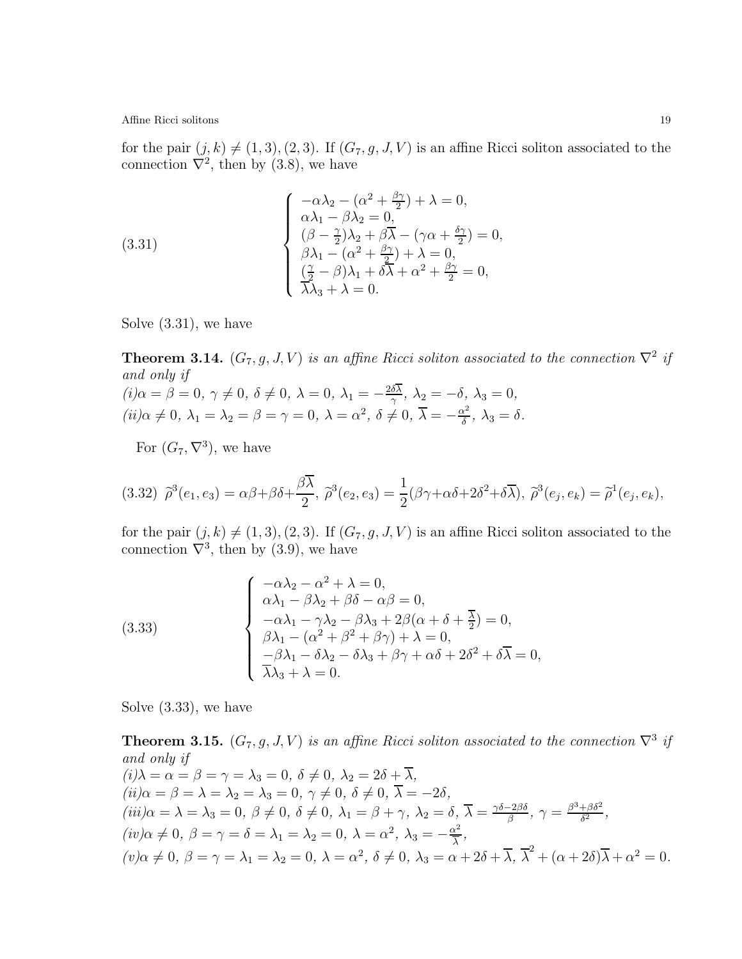for the pair  $(j, k) \neq (1, 3), (2, 3)$ . If  $(G_7, g, J, V)$  is an affine Ricci soliton associated to the connection  $\nabla^2$ , then by (3.8), we have

(3.31)  

$$
\begin{cases}\n-\alpha\lambda_2 - (\alpha^2 + \frac{\beta\gamma}{2}) + \lambda = 0, \\
\alpha\lambda_1 - \beta\lambda_2 = 0, \\
(\beta - \frac{\gamma}{2})\lambda_2 + \beta\overline{\lambda} - (\gamma\alpha + \frac{\delta\gamma}{2}) = 0, \\
\beta\lambda_1 - (\alpha^2 + \frac{\beta\gamma}{2}) + \lambda = 0, \\
\frac{(\frac{\gamma}{2} - \beta)\lambda_1 + \delta\overline{\lambda} + \alpha^2 + \frac{\beta\gamma}{2} = 0, \\
\overline{\lambda\lambda_3 + \lambda} = 0.\n\end{cases}
$$

Solve (3.31), we have

**Theorem 3.14.**  $(G_7, g, J, V)$  is an affine Ricci soliton associated to the connection  $\nabla^2$  if and only if  $(i) \alpha = \beta = 0, \ \gamma \neq 0, \ \delta \neq 0, \ \lambda = 0, \ \lambda_1 = -\frac{2\delta\lambda}{\gamma}$  $\frac{\delta \lambda}{\gamma}, \ \lambda_2 = -\delta, \ \lambda_3 = 0,$  $(ii) \alpha \neq 0, \ \lambda_1 = \lambda_2 = \beta = \gamma = 0, \ \lambda = \alpha^2, \ \delta \neq 0, \ \overline{\lambda} = -\frac{\alpha^2}{\delta}$  $\frac{\chi^2}{\delta}$ ,  $\lambda_3 = \delta$ .

For  $(G_7, \nabla^3)$ , we have

$$
(3.32)\ \ \widetilde{\rho}^3(e_1, e_3) = \alpha\beta + \beta\delta + \frac{\beta\overline{\lambda}}{2},\ \widetilde{\rho}^3(e_2, e_3) = \frac{1}{2}(\beta\gamma + \alpha\delta + 2\delta^2 + \delta\overline{\lambda}),\ \widetilde{\rho}^3(e_j, e_k) = \widetilde{\rho}^1(e_j, e_k),
$$

for the pair  $(j, k) \neq (1, 3), (2, 3)$ . If  $(G_7, g, J, V)$  is an affine Ricci soliton associated to the connection  $\nabla^3$ , then by (3.9), we have

(3.33)  

$$
\begin{cases}\n-\alpha\lambda_2 - \alpha^2 + \lambda = 0, \\
\alpha\lambda_1 - \beta\lambda_2 + \beta\delta - \alpha\beta = 0, \\
-\alpha\lambda_1 - \gamma\lambda_2 - \beta\lambda_3 + 2\beta(\alpha + \delta + \frac{1}{2}) = 0, \\
\beta\lambda_1 - (\alpha^2 + \beta^2 + \beta\gamma) + \lambda = 0, \\
-\beta\lambda_1 - \delta\lambda_2 - \delta\lambda_3 + \beta\gamma + \alpha\delta + 2\delta^2 + \delta\overline{\lambda} = 0,\n\end{cases}
$$

Solve (3.33), we have

**Theorem 3.15.**  $(G_7, g, J, V)$  is an affine Ricci soliton associated to the connection  $\nabla^3$  if and only if  $(i)\lambda = \alpha = \beta = \gamma = \lambda_3 = 0, \ \delta \neq 0, \ \lambda_2 = 2\delta + \overline{\lambda},$  $(ii) \alpha = \beta = \lambda = \lambda_2 = \lambda_3 = 0, \ \gamma \neq 0, \ \delta \neq 0, \ \overline{\lambda} = -2\delta,$  $(iii)\alpha = \lambda = \lambda_3 = 0, \ \beta \neq 0, \ \delta \neq 0, \ \lambda_1 = \beta + \gamma, \ \lambda_2 = \delta, \ \overline{\lambda} = \frac{\gamma \delta - 2\beta \delta}{\beta}$  $\frac{-2\beta\delta}{\beta}$ ,  $\gamma = \frac{\beta^3 + \beta\delta^2}{\delta^2}$  $\frac{+\beta\delta^2}{\delta^2},$  $(iv) \alpha \neq 0, \ \beta = \gamma = \delta = \lambda_1 = \lambda_2 = 0, \ \lambda = \alpha^2, \ \lambda_3 = -\frac{\alpha^2}{\overline{\lambda}}$  $rac{\chi^2}{\lambda}$ ,  $(v)\alpha \neq 0, \ \beta = \gamma = \lambda_1 = \lambda_2 = 0, \ \lambda = \alpha^2, \ \delta \neq 0, \ \lambda_3 = \alpha + 2\delta + \overline{\lambda}, \ \overline{\lambda}^2 + (\alpha + 2\delta)\overline{\lambda} + \alpha^2 = 0.$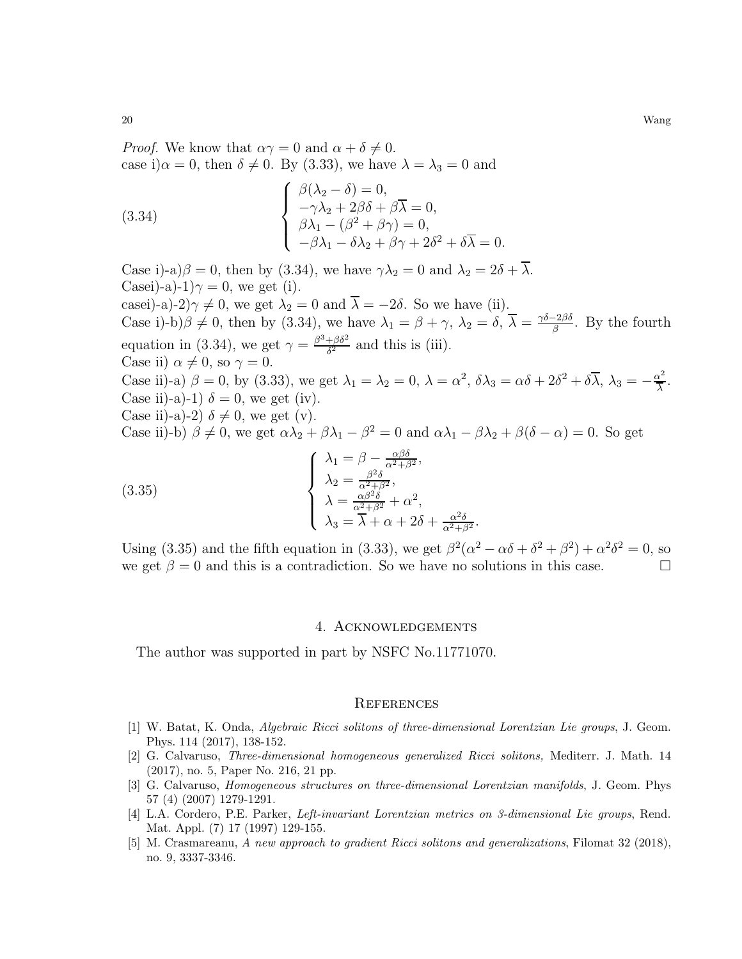*Proof.* We know that  $\alpha \gamma = 0$  and  $\alpha + \delta \neq 0$ . case i) $\alpha = 0$ , then  $\delta \neq 0$ . By (3.33), we have  $\lambda = \lambda_3 = 0$  and

(3.34) 
$$
\begin{cases} \beta(\lambda_2 - \delta) = 0, \\ -\gamma \lambda_2 + 2\beta \delta + \beta \overline{\lambda} = 0, \\ \beta \lambda_1 - (\beta^2 + \beta \gamma) = 0, \\ -\beta \lambda_1 - \delta \lambda_2 + \beta \gamma + 2\delta^2 + \delta \overline{\lambda} = 0. \end{cases}
$$

Case i)-a) $\beta = 0$ , then by (3.34), we have  $\gamma \lambda_2 = 0$  and  $\lambda_2 = 2\delta + \lambda$ . Casei)-a)-1) $\gamma = 0$ , we get (i). casei)-a)-2) $\gamma \neq 0$ , we get  $\lambda_2 = 0$  and  $\overline{\lambda} = -2\delta$ . So we have (ii). Case i)-b) $\beta \neq 0$ , then by (3.34), we have  $\lambda_1 = \beta + \gamma$ ,  $\lambda_2 = \delta$ ,  $\overline{\lambda} = \frac{\gamma \delta - 2\beta \delta}{\beta}$  $\frac{-2\beta\delta}{\beta}$ . By the fourth equation in (3.34), we get  $\gamma = \frac{\beta^3 + \beta \delta^2}{\delta^2}$  $rac{+\beta o^2}{\delta^2}$  and this is (iii). Case ii)  $\alpha \neq 0$ , so  $\gamma = 0$ . Case ii)-a)  $\beta = 0$ , by (3.33), we get  $\lambda_1 = \lambda_2 = 0$ ,  $\lambda = \alpha^2$ ,  $\delta \lambda_3 = \alpha \delta + 2\delta^2 + \delta \overline{\lambda}$ ,  $\lambda_3 = -\frac{\alpha^2}{\overline{\lambda}}$  $rac{\chi^2}{\lambda}$ . Case ii)-a)-1)  $\delta = 0$ , we get (iv). Case ii)-a)-2)  $\delta \neq 0$ , we get (v). Case ii)-b)  $\beta \neq 0$ , we get  $\alpha \lambda_2 + \beta \lambda_1 - \beta^2 = 0$  and  $\alpha \lambda_1 - \beta \lambda_2 + \beta(\delta - \alpha) = 0$ . So get  $\sqrt{ }$  $\Big\}$  $\lambda_1 = \beta - \frac{\alpha \beta \delta}{\alpha^2 + \beta^2},$  $\lambda_2 = \frac{\beta^2 \delta}{\alpha^2 + \beta^2},$  $\lambda = \frac{\alpha \beta^2 \delta}{\alpha^2 + \beta^2} + \alpha^2,$ (3.35)

 $\overline{\mathcal{L}}$  $\lambda_3 = \overline{\lambda} + \alpha + 2\delta + \frac{\alpha^2 \delta}{\alpha^2 + \beta^2}.$ Using (3.35) and the fifth equation in (3.33), we get  $\beta^2(\alpha^2 - \alpha\delta + \delta^2 + \beta^2) + \alpha^2\delta^2 = 0$ , so

we get  $\beta = 0$  and this is a contradiction. So we have no solutions in this case.

### 4. Acknowledgements

The author was supported in part by NSFC No.11771070.

#### **REFERENCES**

- <span id="page-19-4"></span>[1] W. Batat, K. Onda, Algebraic Ricci solitons of three-dimensional Lorentzian Lie groups, J. Geom. Phys. 114 (2017), 138-152.
- <span id="page-19-1"></span>[2] G. Calvaruso, Three-dimensional homogeneous generalized Ricci solitons, Mediterr. J. Math. 14 (2017), no. 5, Paper No. 216, 21 pp.
- <span id="page-19-2"></span>[3] G. Calvaruso, Homogeneous structures on three-dimensional Lorentzian manifolds, J. Geom. Phys 57 (4) (2007) 1279-1291.
- <span id="page-19-3"></span>[4] L.A. Cordero, P.E. Parker, Left-invariant Lorentzian metrics on 3-dimensional Lie groups, Rend. Mat. Appl. (7) 17 (1997) 129-155.
- <span id="page-19-0"></span>[5] M. Crasmareanu, A new approach to gradient Ricci solitons and generalizations, Filomat 32 (2018), no. 9, 3337-3346.